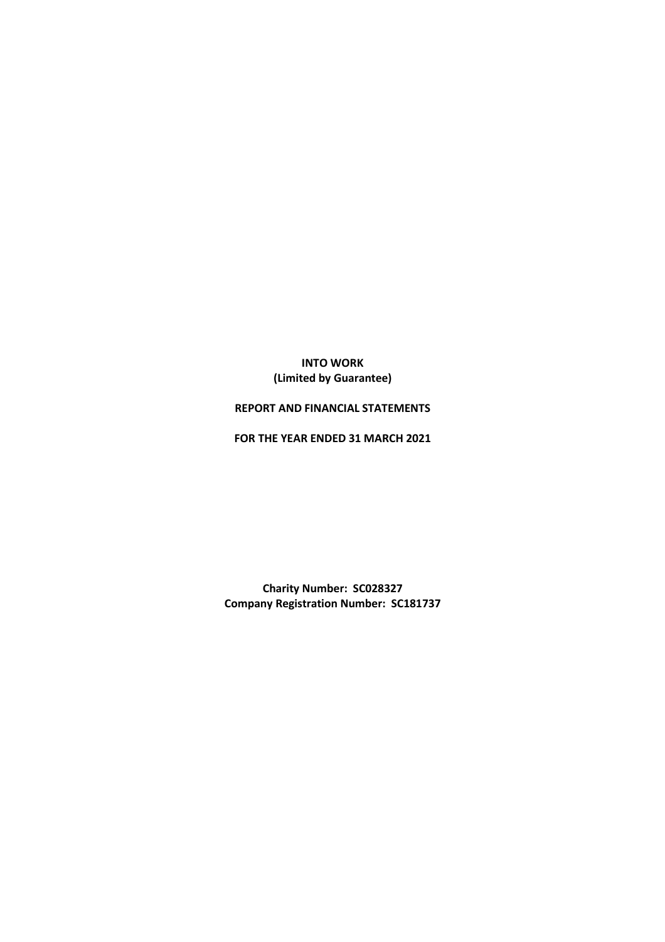# INTO WORK (Limited by Guarantee)

## REPORT AND FINANCIAL STATEMENTS

FOR THE YEAR ENDED 31 MARCH 2021

Charity Number: SC028327 Company Registration Number: SC181737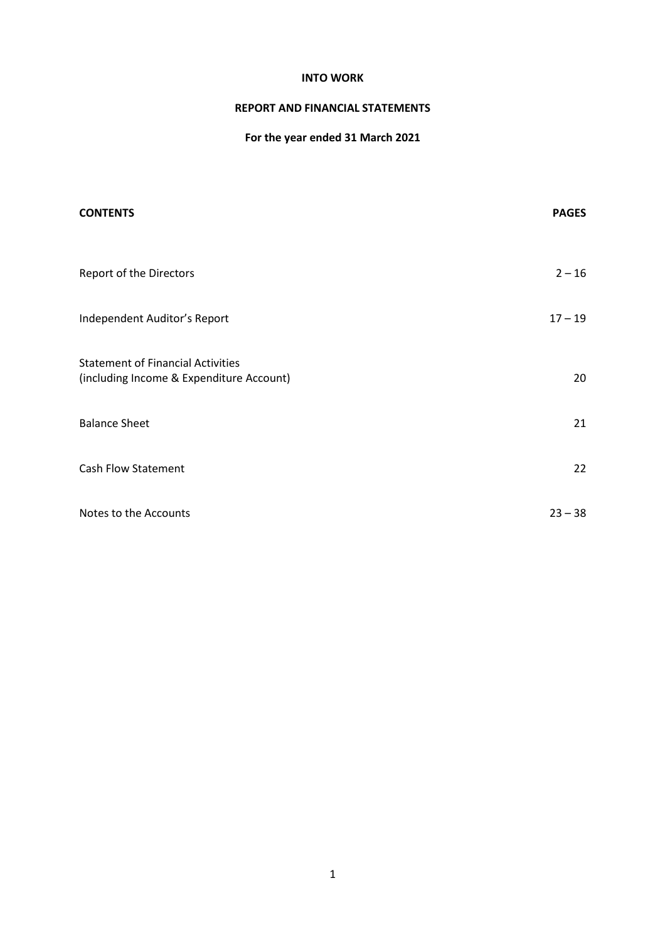## REPORT AND FINANCIAL STATEMENTS

# For the year ended 31 March 2021

| <b>CONTENTS</b>                                                                      | <b>PAGES</b> |
|--------------------------------------------------------------------------------------|--------------|
| Report of the Directors                                                              | $2 - 16$     |
| Independent Auditor's Report                                                         | $17 - 19$    |
| <b>Statement of Financial Activities</b><br>(including Income & Expenditure Account) | 20           |
| <b>Balance Sheet</b>                                                                 | 21           |
| <b>Cash Flow Statement</b>                                                           | 22           |
| Notes to the Accounts                                                                | $23 - 38$    |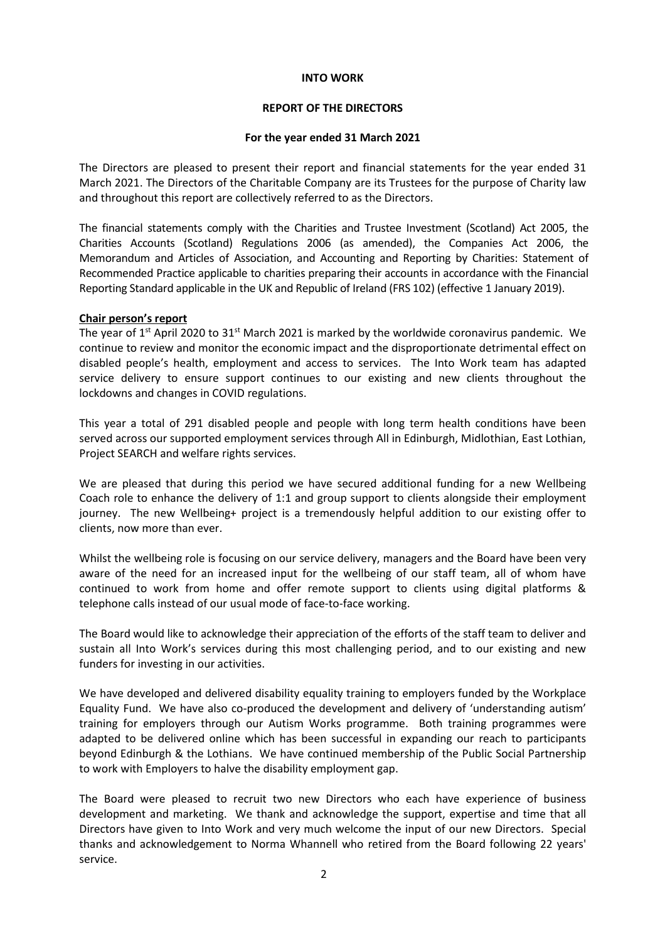## REPORT OF THE DIRECTORS

## For the year ended 31 March 2021

The Directors are pleased to present their report and financial statements for the year ended 31 March 2021. The Directors of the Charitable Company are its Trustees for the purpose of Charity law and throughout this report are collectively referred to as the Directors.

The financial statements comply with the Charities and Trustee Investment (Scotland) Act 2005, the Charities Accounts (Scotland) Regulations 2006 (as amended), the Companies Act 2006, the Memorandum and Articles of Association, and Accounting and Reporting by Charities: Statement of Recommended Practice applicable to charities preparing their accounts in accordance with the Financial Reporting Standard applicable in the UK and Republic of Ireland (FRS 102) (effective 1 January 2019).

## Chair person's report

The year of  $1<sup>st</sup>$  April 2020 to  $31<sup>st</sup>$  March 2021 is marked by the worldwide coronavirus pandemic. We continue to review and monitor the economic impact and the disproportionate detrimental effect on disabled people's health, employment and access to services. The Into Work team has adapted service delivery to ensure support continues to our existing and new clients throughout the lockdowns and changes in COVID regulations.

This year a total of 291 disabled people and people with long term health conditions have been served across our supported employment services through All in Edinburgh, Midlothian, East Lothian, Project SEARCH and welfare rights services.

We are pleased that during this period we have secured additional funding for a new Wellbeing Coach role to enhance the delivery of 1:1 and group support to clients alongside their employment journey. The new Wellbeing+ project is a tremendously helpful addition to our existing offer to clients, now more than ever.

Whilst the wellbeing role is focusing on our service delivery, managers and the Board have been very aware of the need for an increased input for the wellbeing of our staff team, all of whom have continued to work from home and offer remote support to clients using digital platforms & telephone calls instead of our usual mode of face-to-face working.

The Board would like to acknowledge their appreciation of the efforts of the staff team to deliver and sustain all Into Work's services during this most challenging period, and to our existing and new funders for investing in our activities.

We have developed and delivered disability equality training to employers funded by the Workplace Equality Fund. We have also co-produced the development and delivery of 'understanding autism' training for employers through our Autism Works programme. Both training programmes were adapted to be delivered online which has been successful in expanding our reach to participants beyond Edinburgh & the Lothians. We have continued membership of the Public Social Partnership to work with Employers to halve the disability employment gap.

The Board were pleased to recruit two new Directors who each have experience of business development and marketing. We thank and acknowledge the support, expertise and time that all Directors have given to Into Work and very much welcome the input of our new Directors. Special thanks and acknowledgement to Norma Whannell who retired from the Board following 22 years' service.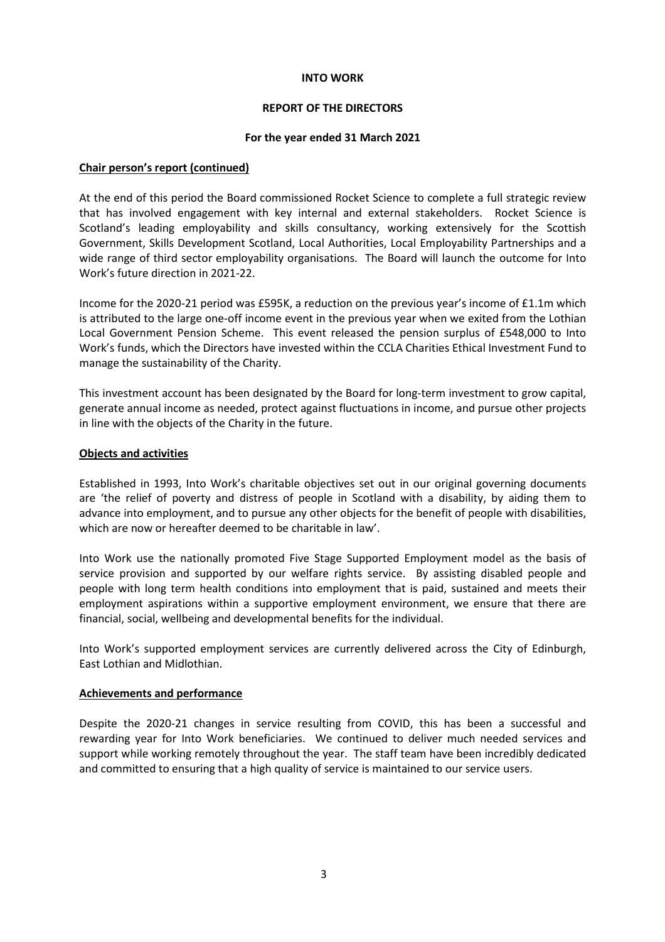## REPORT OF THE DIRECTORS

## For the year ended 31 March 2021

## Chair person's report (continued)

At the end of this period the Board commissioned Rocket Science to complete a full strategic review that has involved engagement with key internal and external stakeholders. Rocket Science is Scotland's leading employability and skills consultancy, working extensively for the Scottish Government, Skills Development Scotland, Local Authorities, Local Employability Partnerships and a wide range of third sector employability organisations. The Board will launch the outcome for Into Work's future direction in 2021-22.

Income for the 2020-21 period was £595K, a reduction on the previous year's income of £1.1m which is attributed to the large one-off income event in the previous year when we exited from the Lothian Local Government Pension Scheme. This event released the pension surplus of £548,000 to Into Work's funds, which the Directors have invested within the CCLA Charities Ethical Investment Fund to manage the sustainability of the Charity.

This investment account has been designated by the Board for long-term investment to grow capital, generate annual income as needed, protect against fluctuations in income, and pursue other projects in line with the objects of the Charity in the future.

## Objects and activities

Established in 1993, Into Work's charitable objectives set out in our original governing documents are 'the relief of poverty and distress of people in Scotland with a disability, by aiding them to advance into employment, and to pursue any other objects for the benefit of people with disabilities, which are now or hereafter deemed to be charitable in law'.

Into Work use the nationally promoted Five Stage Supported Employment model as the basis of service provision and supported by our welfare rights service. By assisting disabled people and people with long term health conditions into employment that is paid, sustained and meets their employment aspirations within a supportive employment environment, we ensure that there are financial, social, wellbeing and developmental benefits for the individual.

Into Work's supported employment services are currently delivered across the City of Edinburgh, East Lothian and Midlothian.

## Achievements and performance

Despite the 2020-21 changes in service resulting from COVID, this has been a successful and rewarding year for Into Work beneficiaries. We continued to deliver much needed services and support while working remotely throughout the year. The staff team have been incredibly dedicated and committed to ensuring that a high quality of service is maintained to our service users.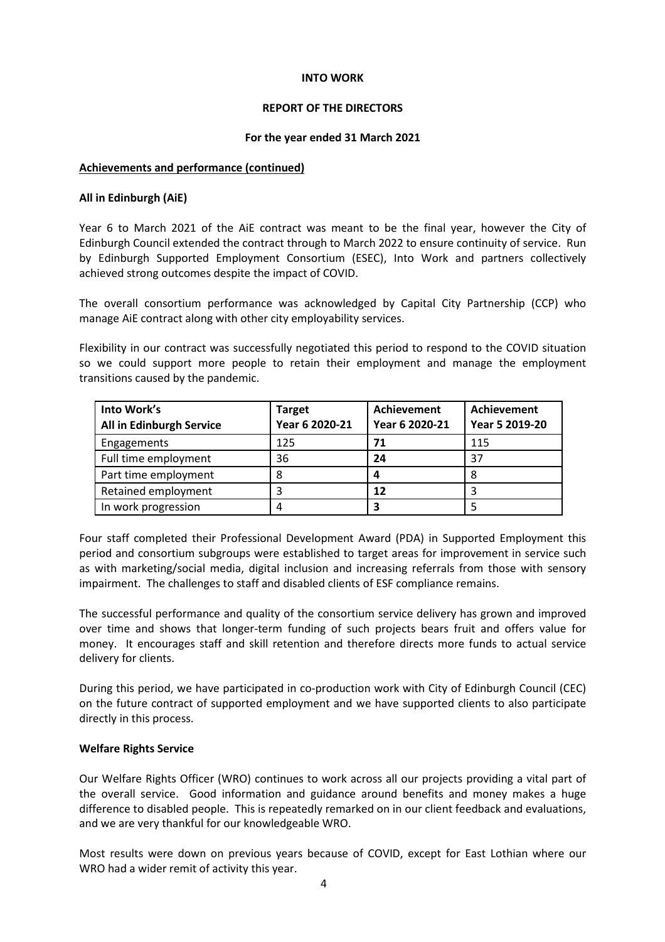## REPORT OF THE DIRECTORS

## For the year ended 31 March 2021

## Achievements and performance (continued)

## All in Edinburgh (AiE)

Year 6 to March 2021 of the AiE contract was meant to be the final year, however the City of Edinburgh Council extended the contract through to March 2022 to ensure continuity of service. Run by Edinburgh Supported Employment Consortium (ESEC), Into Work and partners collectively achieved strong outcomes despite the impact of COVID.

The overall consortium performance was acknowledged by Capital City Partnership (CCP) who manage AiE contract along with other city employability services.

Flexibility in our contract was successfully negotiated this period to respond to the COVID situation so we could support more people to retain their employment and manage the employment transitions caused by the pandemic.

| Into Work's<br>All in Edinburgh Service | <b>Target</b><br>Year 6 2020-21 | Achievement<br>Year 6 2020-21 | Achievement<br>Year 5 2019-20 |
|-----------------------------------------|---------------------------------|-------------------------------|-------------------------------|
| Engagements                             | 125                             | 71                            | 115                           |
| Full time employment                    | 36                              | 24                            | 37                            |
| Part time employment                    | 8                               | 4                             | 8                             |
| Retained employment                     |                                 | 12                            |                               |
| In work progression                     | 4                               | 3                             |                               |

Four staff completed their Professional Development Award (PDA) in Supported Employment this period and consortium subgroups were established to target areas for improvement in service such as with marketing/social media, digital inclusion and increasing referrals from those with sensory impairment. The challenges to staff and disabled clients of ESF compliance remains.

The successful performance and quality of the consortium service delivery has grown and improved over time and shows that longer-term funding of such projects bears fruit and offers value for money. It encourages staff and skill retention and therefore directs more funds to actual service delivery for clients.

During this period, we have participated in co-production work with City of Edinburgh Council (CEC) on the future contract of supported employment and we have supported clients to also participate directly in this process.

## Welfare Rights Service

Our Welfare Rights Officer (WRO) continues to work across all our projects providing a vital part of the overall service. Good information and guidance around benefits and money makes a huge difference to disabled people. This is repeatedly remarked on in our client feedback and evaluations, and we are very thankful for our knowledgeable WRO.

Most results were down on previous years because of COVID, except for East Lothian where our WRO had a wider remit of activity this year.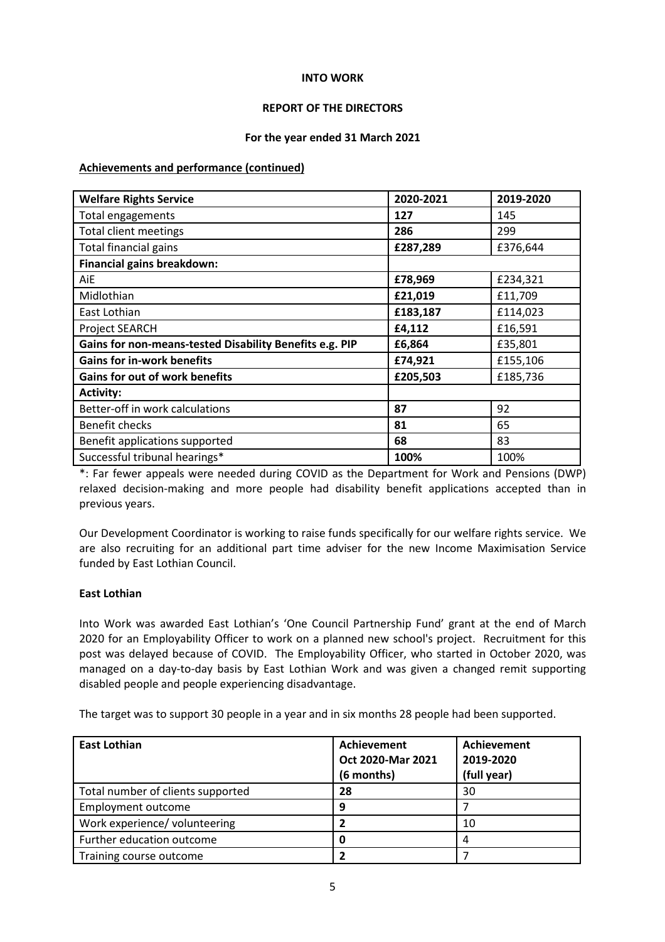## REPORT OF THE DIRECTORS

## For the year ended 31 March 2021

## Achievements and performance (continued)

| <b>Welfare Rights Service</b>                           | 2020-2021 | 2019-2020 |
|---------------------------------------------------------|-----------|-----------|
| Total engagements                                       | 127       | 145       |
| <b>Total client meetings</b>                            | 286       | 299       |
| Total financial gains                                   | £287,289  | £376,644  |
| Financial gains breakdown:                              |           |           |
| AiE                                                     | £78,969   | £234,321  |
| Midlothian                                              | £21,019   | £11,709   |
| East Lothian                                            | £183,187  | £114,023  |
| Project SEARCH                                          | £4,112    | £16,591   |
| Gains for non-means-tested Disability Benefits e.g. PIP | £6,864    | £35,801   |
| <b>Gains for in-work benefits</b>                       | £74,921   | £155,106  |
| <b>Gains for out of work benefits</b>                   | £205,503  | £185,736  |
| <b>Activity:</b>                                        |           |           |
| Better-off in work calculations                         | 87        | 92        |
| <b>Benefit checks</b>                                   | 81        | 65        |
| Benefit applications supported                          | 68        | 83        |
| Successful tribunal hearings*                           | 100%      | 100%      |

\*: Far fewer appeals were needed during COVID as the Department for Work and Pensions (DWP) relaxed decision-making and more people had disability benefit applications accepted than in previous years.

Our Development Coordinator is working to raise funds specifically for our welfare rights service. We are also recruiting for an additional part time adviser for the new Income Maximisation Service funded by East Lothian Council.

## East Lothian

Into Work was awarded East Lothian's 'One Council Partnership Fund' grant at the end of March 2020 for an Employability Officer to work on a planned new school's project. Recruitment for this post was delayed because of COVID. The Employability Officer, who started in October 2020, was managed on a day-to-day basis by East Lothian Work and was given a changed remit supporting disabled people and people experiencing disadvantage.

The target was to support 30 people in a year and in six months 28 people had been supported.

| <b>East Lothian</b>               | Achievement<br>Oct 2020-Mar 2021<br>(6 months) | Achievement<br>2019-2020<br>(full year) |
|-----------------------------------|------------------------------------------------|-----------------------------------------|
| Total number of clients supported | 28                                             | 30                                      |
| Employment outcome                | 9                                              |                                         |
| Work experience/ volunteering     |                                                | 10                                      |
| Further education outcome         | 0                                              | 4                                       |
| Training course outcome           |                                                |                                         |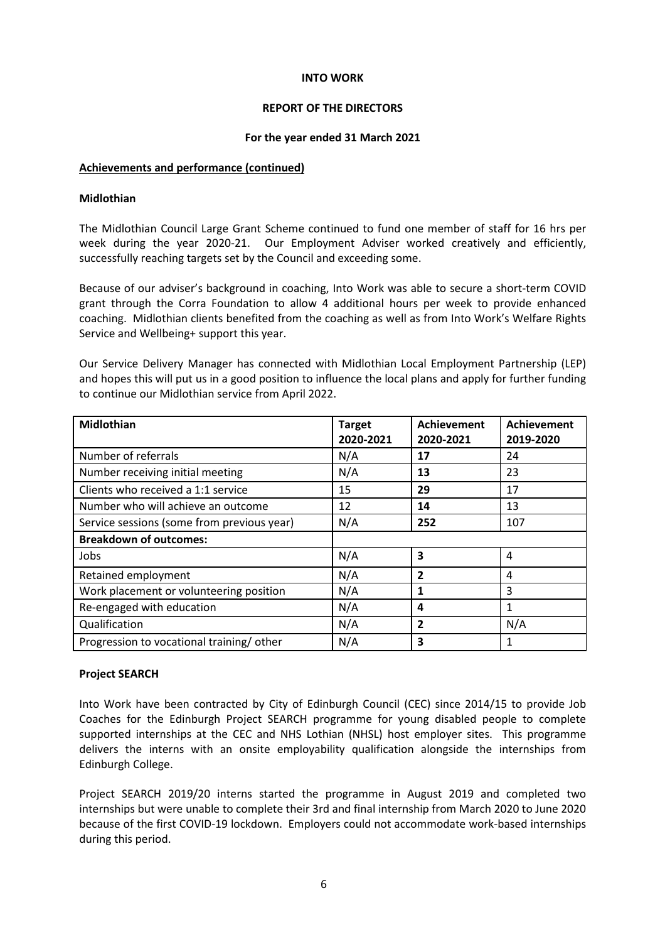## REPORT OF THE DIRECTORS

## For the year ended 31 March 2021

## Achievements and performance (continued)

## Midlothian

The Midlothian Council Large Grant Scheme continued to fund one member of staff for 16 hrs per week during the year 2020-21. Our Employment Adviser worked creatively and efficiently, successfully reaching targets set by the Council and exceeding some.

Because of our adviser's background in coaching, Into Work was able to secure a short-term COVID grant through the Corra Foundation to allow 4 additional hours per week to provide enhanced coaching. Midlothian clients benefited from the coaching as well as from Into Work's Welfare Rights Service and Wellbeing+ support this year.

Our Service Delivery Manager has connected with Midlothian Local Employment Partnership (LEP) and hopes this will put us in a good position to influence the local plans and apply for further funding to continue our Midlothian service from April 2022.

| <b>Midlothian</b>                          | <b>Target</b><br>2020-2021 | <b>Achievement</b><br>2020-2021 | <b>Achievement</b><br>2019-2020 |
|--------------------------------------------|----------------------------|---------------------------------|---------------------------------|
| Number of referrals                        | N/A                        | 17                              | 24                              |
| Number receiving initial meeting           | N/A                        | 13                              | 23                              |
| Clients who received a 1:1 service         | 15                         | 29                              | 17                              |
| Number who will achieve an outcome         | 12                         | 14                              | 13                              |
| Service sessions (some from previous year) | N/A                        | 252                             | 107                             |
| <b>Breakdown of outcomes:</b>              |                            |                                 |                                 |
| Jobs                                       | N/A                        | 3                               | 4                               |
| Retained employment                        | N/A                        | $\overline{2}$                  | 4                               |
| Work placement or volunteering position    | N/A                        | $\mathbf{1}$                    | 3                               |
| Re-engaged with education                  | N/A                        | 4                               | 1                               |
| Qualification                              | N/A                        | $\overline{2}$                  | N/A                             |
| Progression to vocational training/other   | N/A                        | 3                               | 1                               |

## Project SEARCH

Into Work have been contracted by City of Edinburgh Council (CEC) since 2014/15 to provide Job Coaches for the Edinburgh Project SEARCH programme for young disabled people to complete supported internships at the CEC and NHS Lothian (NHSL) host employer sites. This programme delivers the interns with an onsite employability qualification alongside the internships from Edinburgh College.

Project SEARCH 2019/20 interns started the programme in August 2019 and completed two internships but were unable to complete their 3rd and final internship from March 2020 to June 2020 because of the first COVID-19 lockdown. Employers could not accommodate work-based internships during this period.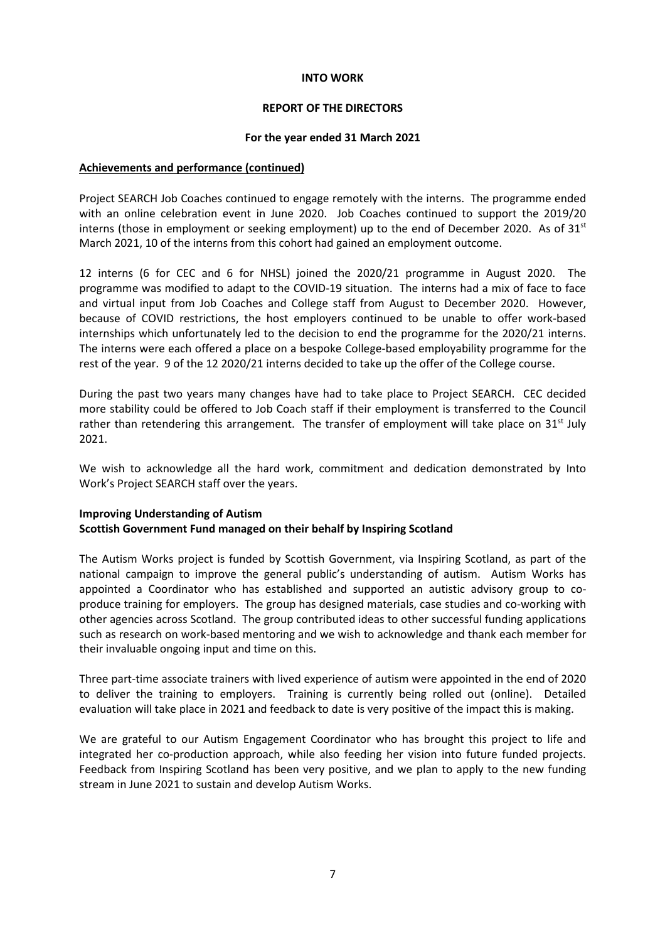## REPORT OF THE DIRECTORS

## For the year ended 31 March 2021

## Achievements and performance (continued)

Project SEARCH Job Coaches continued to engage remotely with the interns. The programme ended with an online celebration event in June 2020. Job Coaches continued to support the 2019/20 interns (those in employment or seeking employment) up to the end of December 2020. As of  $31<sup>st</sup>$ March 2021, 10 of the interns from this cohort had gained an employment outcome.

12 interns (6 for CEC and 6 for NHSL) joined the 2020/21 programme in August 2020. The programme was modified to adapt to the COVID-19 situation. The interns had a mix of face to face and virtual input from Job Coaches and College staff from August to December 2020. However, because of COVID restrictions, the host employers continued to be unable to offer work-based internships which unfortunately led to the decision to end the programme for the 2020/21 interns. The interns were each offered a place on a bespoke College-based employability programme for the rest of the year. 9 of the 12 2020/21 interns decided to take up the offer of the College course.

During the past two years many changes have had to take place to Project SEARCH. CEC decided more stability could be offered to Job Coach staff if their employment is transferred to the Council rather than retendering this arrangement. The transfer of employment will take place on  $31<sup>st</sup>$  July 2021.

We wish to acknowledge all the hard work, commitment and dedication demonstrated by Into Work's Project SEARCH staff over the years.

## Improving Understanding of Autism Scottish Government Fund managed on their behalf by Inspiring Scotland

The Autism Works project is funded by Scottish Government, via Inspiring Scotland, as part of the national campaign to improve the general public's understanding of autism. Autism Works has appointed a Coordinator who has established and supported an autistic advisory group to coproduce training for employers. The group has designed materials, case studies and co-working with other agencies across Scotland. The group contributed ideas to other successful funding applications such as research on work-based mentoring and we wish to acknowledge and thank each member for their invaluable ongoing input and time on this.

Three part-time associate trainers with lived experience of autism were appointed in the end of 2020 to deliver the training to employers. Training is currently being rolled out (online). Detailed evaluation will take place in 2021 and feedback to date is very positive of the impact this is making.

We are grateful to our Autism Engagement Coordinator who has brought this project to life and integrated her co-production approach, while also feeding her vision into future funded projects. Feedback from Inspiring Scotland has been very positive, and we plan to apply to the new funding stream in June 2021 to sustain and develop Autism Works.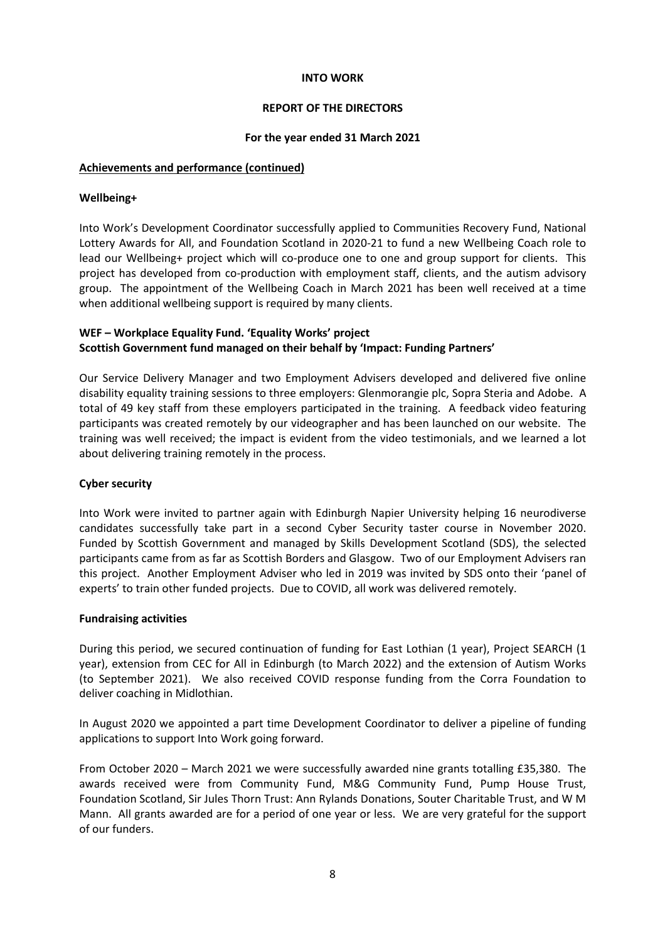## REPORT OF THE DIRECTORS

## For the year ended 31 March 2021

## Achievements and performance (continued)

## Wellbeing+

Into Work's Development Coordinator successfully applied to Communities Recovery Fund, National Lottery Awards for All, and Foundation Scotland in 2020-21 to fund a new Wellbeing Coach role to lead our Wellbeing+ project which will co-produce one to one and group support for clients. This project has developed from co-production with employment staff, clients, and the autism advisory group. The appointment of the Wellbeing Coach in March 2021 has been well received at a time when additional wellbeing support is required by many clients.

## WEF – Workplace Equality Fund. 'Equality Works' project Scottish Government fund managed on their behalf by 'Impact: Funding Partners'

Our Service Delivery Manager and two Employment Advisers developed and delivered five online disability equality training sessions to three employers: Glenmorangie plc, Sopra Steria and Adobe. A total of 49 key staff from these employers participated in the training. A feedback video featuring participants was created remotely by our videographer and has been launched on our website. The training was well received; the impact is evident from the video testimonials, and we learned a lot about delivering training remotely in the process.

## Cyber security

Into Work were invited to partner again with Edinburgh Napier University helping 16 neurodiverse candidates successfully take part in a second Cyber Security taster course in November 2020. Funded by Scottish Government and managed by Skills Development Scotland (SDS), the selected participants came from as far as Scottish Borders and Glasgow. Two of our Employment Advisers ran this project. Another Employment Adviser who led in 2019 was invited by SDS onto their 'panel of experts' to train other funded projects. Due to COVID, all work was delivered remotely.

#### Fundraising activities

During this period, we secured continuation of funding for East Lothian (1 year), Project SEARCH (1 year), extension from CEC for All in Edinburgh (to March 2022) and the extension of Autism Works (to September 2021). We also received COVID response funding from the Corra Foundation to deliver coaching in Midlothian.

In August 2020 we appointed a part time Development Coordinator to deliver a pipeline of funding applications to support Into Work going forward.

From October 2020 – March 2021 we were successfully awarded nine grants totalling £35,380. The awards received were from Community Fund, M&G Community Fund, Pump House Trust, Foundation Scotland, Sir Jules Thorn Trust: Ann Rylands Donations, Souter Charitable Trust, and W M Mann. All grants awarded are for a period of one year or less. We are very grateful for the support of our funders.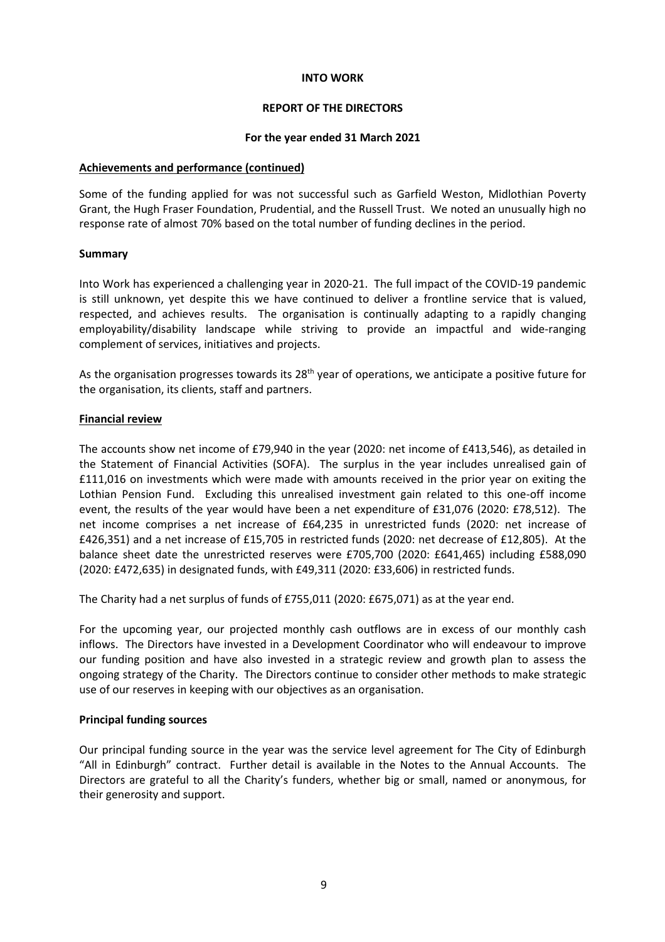## REPORT OF THE DIRECTORS

## For the year ended 31 March 2021

## Achievements and performance (continued)

Some of the funding applied for was not successful such as Garfield Weston, Midlothian Poverty Grant, the Hugh Fraser Foundation, Prudential, and the Russell Trust. We noted an unusually high no response rate of almost 70% based on the total number of funding declines in the period.

## **Summary**

Into Work has experienced a challenging year in 2020-21. The full impact of the COVID-19 pandemic is still unknown, yet despite this we have continued to deliver a frontline service that is valued, respected, and achieves results. The organisation is continually adapting to a rapidly changing employability/disability landscape while striving to provide an impactful and wide-ranging complement of services, initiatives and projects.

As the organisation progresses towards its  $28<sup>th</sup>$  year of operations, we anticipate a positive future for the organisation, its clients, staff and partners.

## Financial review

The accounts show net income of £79,940 in the year (2020: net income of £413,546), as detailed in the Statement of Financial Activities (SOFA). The surplus in the year includes unrealised gain of £111,016 on investments which were made with amounts received in the prior year on exiting the Lothian Pension Fund. Excluding this unrealised investment gain related to this one-off income event, the results of the year would have been a net expenditure of £31,076 (2020: £78,512). The net income comprises a net increase of £64,235 in unrestricted funds (2020: net increase of £426,351) and a net increase of £15,705 in restricted funds (2020: net decrease of £12,805). At the balance sheet date the unrestricted reserves were £705,700 (2020: £641,465) including £588,090 (2020: £472,635) in designated funds, with £49,311 (2020: £33,606) in restricted funds.

The Charity had a net surplus of funds of £755,011 (2020: £675,071) as at the year end.

For the upcoming year, our projected monthly cash outflows are in excess of our monthly cash inflows. The Directors have invested in a Development Coordinator who will endeavour to improve our funding position and have also invested in a strategic review and growth plan to assess the ongoing strategy of the Charity. The Directors continue to consider other methods to make strategic use of our reserves in keeping with our objectives as an organisation.

## Principal funding sources

Our principal funding source in the year was the service level agreement for The City of Edinburgh "All in Edinburgh" contract. Further detail is available in the Notes to the Annual Accounts. The Directors are grateful to all the Charity's funders, whether big or small, named or anonymous, for their generosity and support.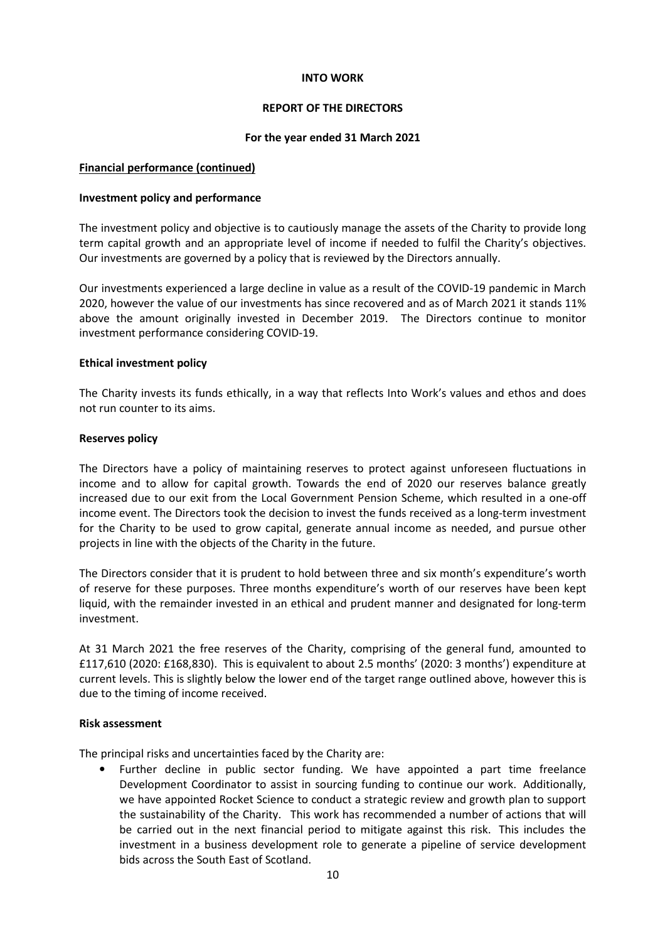## REPORT OF THE DIRECTORS

## For the year ended 31 March 2021

## Financial performance (continued)

## Investment policy and performance

The investment policy and objective is to cautiously manage the assets of the Charity to provide long term capital growth and an appropriate level of income if needed to fulfil the Charity's objectives. Our investments are governed by a policy that is reviewed by the Directors annually.

Our investments experienced a large decline in value as a result of the COVID-19 pandemic in March 2020, however the value of our investments has since recovered and as of March 2021 it stands 11% above the amount originally invested in December 2019. The Directors continue to monitor investment performance considering COVID-19.

## Ethical investment policy

The Charity invests its funds ethically, in a way that reflects Into Work's values and ethos and does not run counter to its aims.

## Reserves policy

The Directors have a policy of maintaining reserves to protect against unforeseen fluctuations in income and to allow for capital growth. Towards the end of 2020 our reserves balance greatly increased due to our exit from the Local Government Pension Scheme, which resulted in a one-off income event. The Directors took the decision to invest the funds received as a long-term investment for the Charity to be used to grow capital, generate annual income as needed, and pursue other projects in line with the objects of the Charity in the future.

The Directors consider that it is prudent to hold between three and six month's expenditure's worth of reserve for these purposes. Three months expenditure's worth of our reserves have been kept liquid, with the remainder invested in an ethical and prudent manner and designated for long-term investment.

At 31 March 2021 the free reserves of the Charity, comprising of the general fund, amounted to £117,610 (2020: £168,830). This is equivalent to about 2.5 months' (2020: 3 months') expenditure at current levels. This is slightly below the lower end of the target range outlined above, however this is due to the timing of income received.

## Risk assessment

The principal risks and uncertainties faced by the Charity are:

• Further decline in public sector funding. We have appointed a part time freelance Development Coordinator to assist in sourcing funding to continue our work. Additionally, we have appointed Rocket Science to conduct a strategic review and growth plan to support the sustainability of the Charity. This work has recommended a number of actions that will be carried out in the next financial period to mitigate against this risk. This includes the investment in a business development role to generate a pipeline of service development bids across the South East of Scotland.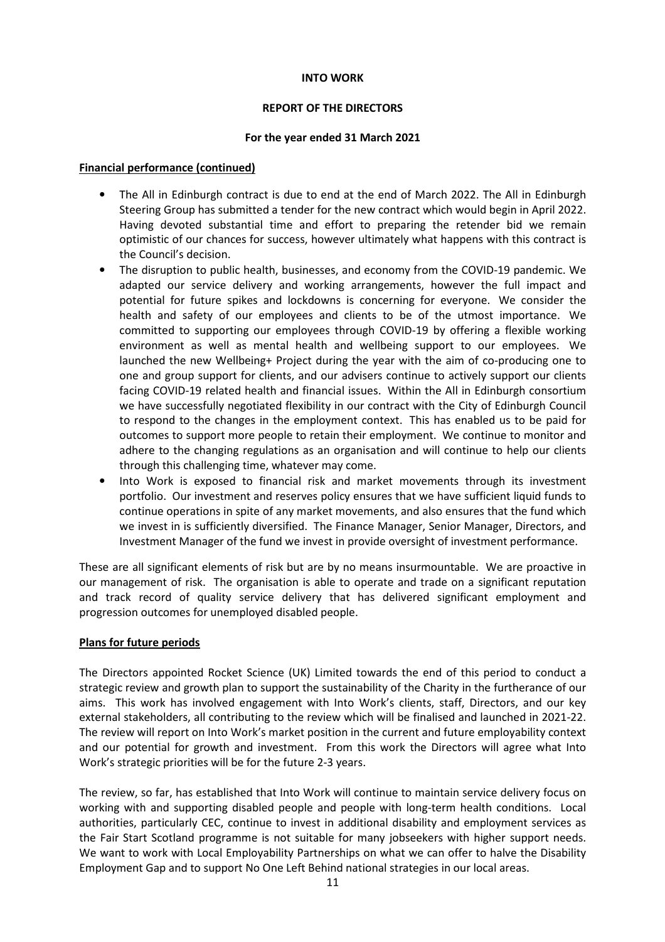## REPORT OF THE DIRECTORS

## For the year ended 31 March 2021

## Financial performance (continued)

- The All in Edinburgh contract is due to end at the end of March 2022. The All in Edinburgh Steering Group has submitted a tender for the new contract which would begin in April 2022. Having devoted substantial time and effort to preparing the retender bid we remain optimistic of our chances for success, however ultimately what happens with this contract is the Council's decision.
- The disruption to public health, businesses, and economy from the COVID-19 pandemic. We adapted our service delivery and working arrangements, however the full impact and potential for future spikes and lockdowns is concerning for everyone. We consider the health and safety of our employees and clients to be of the utmost importance. We committed to supporting our employees through COVID-19 by offering a flexible working environment as well as mental health and wellbeing support to our employees. We launched the new Wellbeing+ Project during the year with the aim of co-producing one to one and group support for clients, and our advisers continue to actively support our clients facing COVID-19 related health and financial issues. Within the All in Edinburgh consortium we have successfully negotiated flexibility in our contract with the City of Edinburgh Council to respond to the changes in the employment context. This has enabled us to be paid for outcomes to support more people to retain their employment. We continue to monitor and adhere to the changing regulations as an organisation and will continue to help our clients through this challenging time, whatever may come.
- Into Work is exposed to financial risk and market movements through its investment portfolio. Our investment and reserves policy ensures that we have sufficient liquid funds to continue operations in spite of any market movements, and also ensures that the fund which we invest in is sufficiently diversified. The Finance Manager, Senior Manager, Directors, and Investment Manager of the fund we invest in provide oversight of investment performance.

These are all significant elements of risk but are by no means insurmountable. We are proactive in our management of risk. The organisation is able to operate and trade on a significant reputation and track record of quality service delivery that has delivered significant employment and progression outcomes for unemployed disabled people.

## Plans for future periods

The Directors appointed Rocket Science (UK) Limited towards the end of this period to conduct a strategic review and growth plan to support the sustainability of the Charity in the furtherance of our aims. This work has involved engagement with Into Work's clients, staff, Directors, and our key external stakeholders, all contributing to the review which will be finalised and launched in 2021-22. The review will report on Into Work's market position in the current and future employability context and our potential for growth and investment. From this work the Directors will agree what Into Work's strategic priorities will be for the future 2-3 years.

The review, so far, has established that Into Work will continue to maintain service delivery focus on working with and supporting disabled people and people with long-term health conditions. Local authorities, particularly CEC, continue to invest in additional disability and employment services as the Fair Start Scotland programme is not suitable for many jobseekers with higher support needs. We want to work with Local Employability Partnerships on what we can offer to halve the Disability Employment Gap and to support No One Left Behind national strategies in our local areas.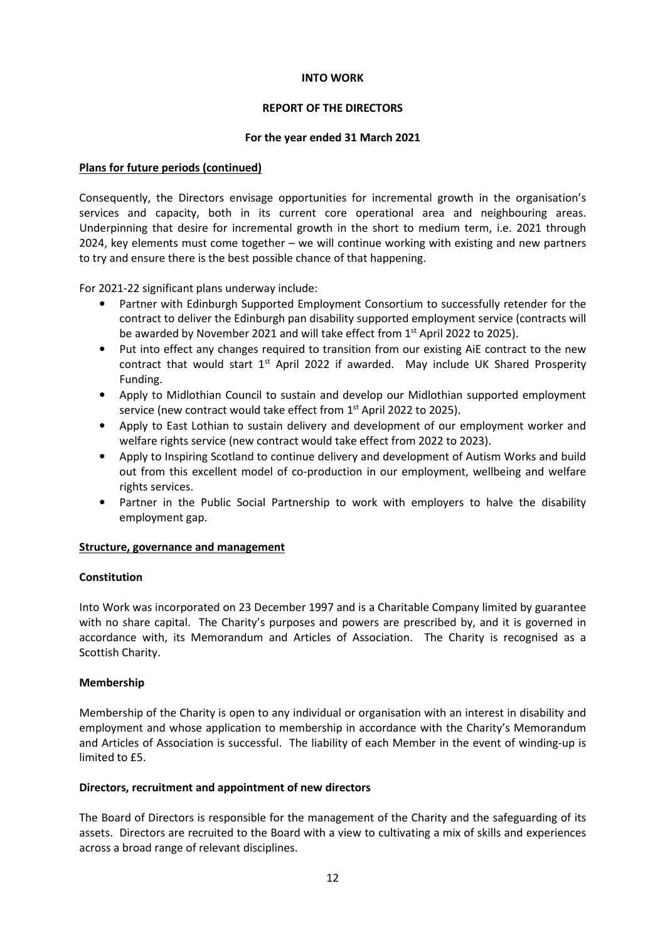## REPORT OF THE DIRECTORS

## For the year ended 31 March 2021

## Plans for future periods (continued)

Consequently, the Directors envisage opportunities for incremental growth in the organisation's services and capacity, both in its current core operational area and neighbouring areas. Underpinning that desire for incremental growth in the short to medium term, i.e. 2021 through 2024, key elements must come together – we will continue working with existing and new partners to try and ensure there is the best possible chance of that happening.

For 2021-22 significant plans underway include:

- Partner with Edinburgh Supported Employment Consortium to successfully retender for the contract to deliver the Edinburgh pan disability supported employment service (contracts will be awarded by November 2021 and will take effect from 1<sup>st</sup> April 2022 to 2025).
- Put into effect any changes required to transition from our existing AiE contract to the new contract that would start  $1<sup>st</sup>$  April 2022 if awarded. May include UK Shared Prosperity Funding.
- Apply to Midlothian Council to sustain and develop our Midlothian supported employment service (new contract would take effect from 1<sup>st</sup> April 2022 to 2025).
- Apply to East Lothian to sustain delivery and development of our employment worker and welfare rights service (new contract would take effect from 2022 to 2023).
- Apply to Inspiring Scotland to continue delivery and development of Autism Works and build out from this excellent model of co-production in our employment, wellbeing and welfare rights services.
- Partner in the Public Social Partnership to work with employers to halve the disability employment gap.

## Structure, governance and management

## **Constitution**

Into Work was incorporated on 23 December 1997 and is a Charitable Company limited by guarantee with no share capital. The Charity's purposes and powers are prescribed by, and it is governed in accordance with, its Memorandum and Articles of Association. The Charity is recognised as a Scottish Charity.

## Membership

Membership of the Charity is open to any individual or organisation with an interest in disability and employment and whose application to membership in accordance with the Charity's Memorandum and Articles of Association is successful. The liability of each Member in the event of winding-up is limited to  $f5$ .

## Directors, recruitment and appointment of new directors

The Board of Directors is responsible for the management of the Charity and the safeguarding of its assets. Directors are recruited to the Board with a view to cultivating a mix of skills and experiences across a broad range of relevant disciplines.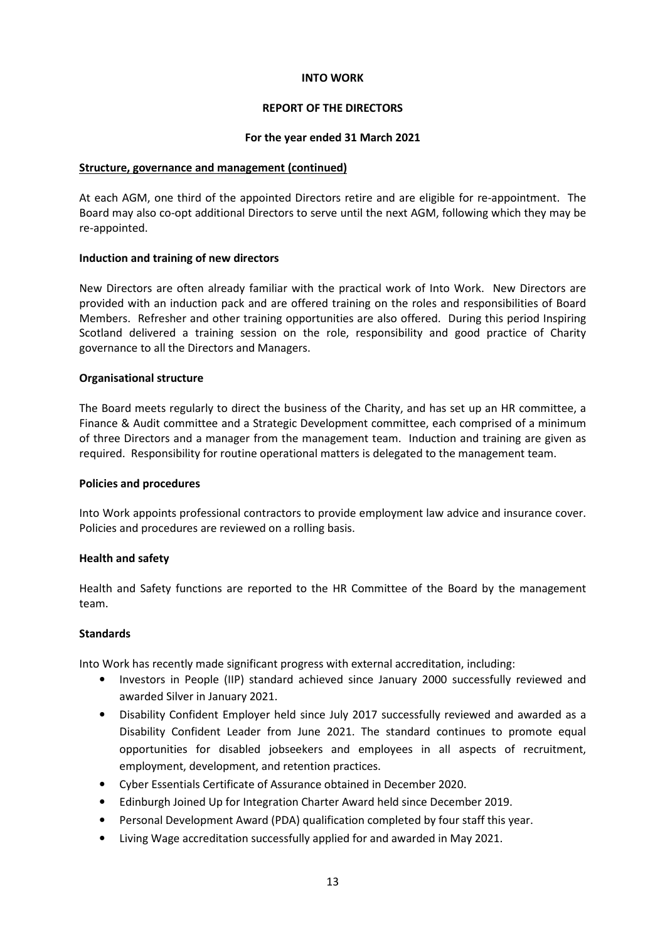## REPORT OF THE DIRECTORS

## For the year ended 31 March 2021

#### Structure, governance and management (continued)

At each AGM, one third of the appointed Directors retire and are eligible for re-appointment. The Board may also co-opt additional Directors to serve until the next AGM, following which they may be re-appointed.

## Induction and training of new directors

New Directors are often already familiar with the practical work of Into Work. New Directors are provided with an induction pack and are offered training on the roles and responsibilities of Board Members. Refresher and other training opportunities are also offered. During this period Inspiring Scotland delivered a training session on the role, responsibility and good practice of Charity governance to all the Directors and Managers.

## Organisational structure

The Board meets regularly to direct the business of the Charity, and has set up an HR committee, a Finance & Audit committee and a Strategic Development committee, each comprised of a minimum of three Directors and a manager from the management team. Induction and training are given as required. Responsibility for routine operational matters is delegated to the management team.

#### Policies and procedures

Into Work appoints professional contractors to provide employment law advice and insurance cover. Policies and procedures are reviewed on a rolling basis.

## Health and safety

Health and Safety functions are reported to the HR Committee of the Board by the management team.

## **Standards**

Into Work has recently made significant progress with external accreditation, including:

- Investors in People (IIP) standard achieved since January 2000 successfully reviewed and awarded Silver in January 2021.
- Disability Confident Employer held since July 2017 successfully reviewed and awarded as a Disability Confident Leader from June 2021. The standard continues to promote equal opportunities for disabled jobseekers and employees in all aspects of recruitment, employment, development, and retention practices.
- Cyber Essentials Certificate of Assurance obtained in December 2020.
- Edinburgh Joined Up for Integration Charter Award held since December 2019.
- Personal Development Award (PDA) qualification completed by four staff this year.
- Living Wage accreditation successfully applied for and awarded in May 2021.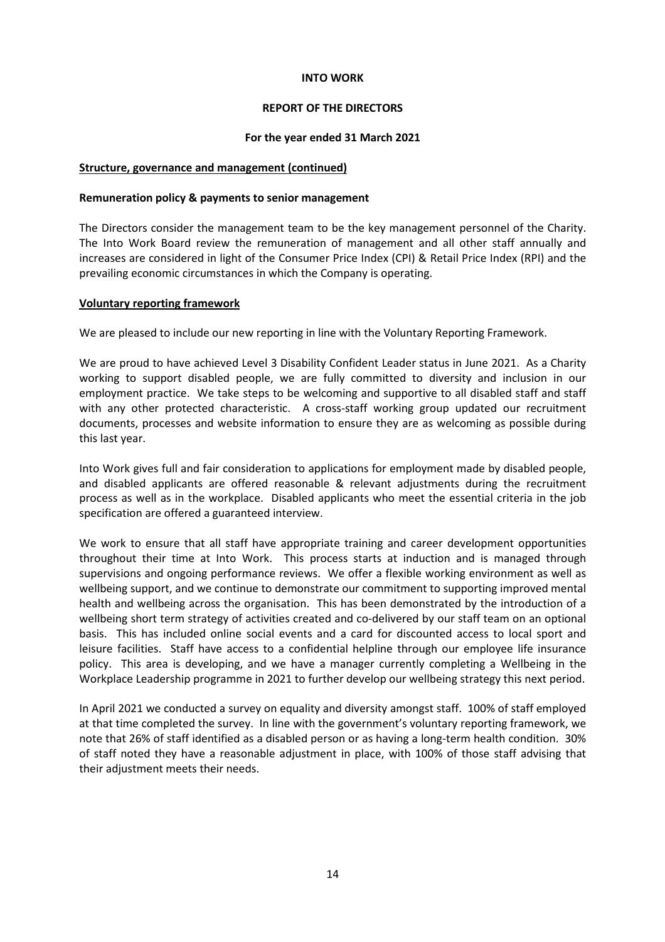## REPORT OF THE DIRECTORS

## For the year ended 31 March 2021

## Structure, governance and management (continued)

## Remuneration policy & payments to senior management

The Directors consider the management team to be the key management personnel of the Charity. The Into Work Board review the remuneration of management and all other staff annually and increases are considered in light of the Consumer Price Index (CPI) & Retail Price Index (RPI) and the prevailing economic circumstances in which the Company is operating.

## Voluntary reporting framework

We are pleased to include our new reporting in line with the Voluntary Reporting Framework.

We are proud to have achieved Level 3 Disability Confident Leader status in June 2021. As a Charity working to support disabled people, we are fully committed to diversity and inclusion in our employment practice. We take steps to be welcoming and supportive to all disabled staff and staff with any other protected characteristic. A cross-staff working group updated our recruitment documents, processes and website information to ensure they are as welcoming as possible during this last year.

Into Work gives full and fair consideration to applications for employment made by disabled people, and disabled applicants are offered reasonable & relevant adjustments during the recruitment process as well as in the workplace. Disabled applicants who meet the essential criteria in the job specification are offered a guaranteed interview.

We work to ensure that all staff have appropriate training and career development opportunities throughout their time at Into Work. This process starts at induction and is managed through supervisions and ongoing performance reviews. We offer a flexible working environment as well as wellbeing support, and we continue to demonstrate our commitment to supporting improved mental health and wellbeing across the organisation. This has been demonstrated by the introduction of a wellbeing short term strategy of activities created and co-delivered by our staff team on an optional basis. This has included online social events and a card for discounted access to local sport and leisure facilities. Staff have access to a confidential helpline through our employee life insurance policy. This area is developing, and we have a manager currently completing a Wellbeing in the Workplace Leadership programme in 2021 to further develop our wellbeing strategy this next period.

In April 2021 we conducted a survey on equality and diversity amongst staff. 100% of staff employed at that time completed the survey. In line with the government's voluntary reporting framework, we note that 26% of staff identified as a disabled person or as having a long-term health condition. 30% of staff noted they have a reasonable adjustment in place, with 100% of those staff advising that their adjustment meets their needs.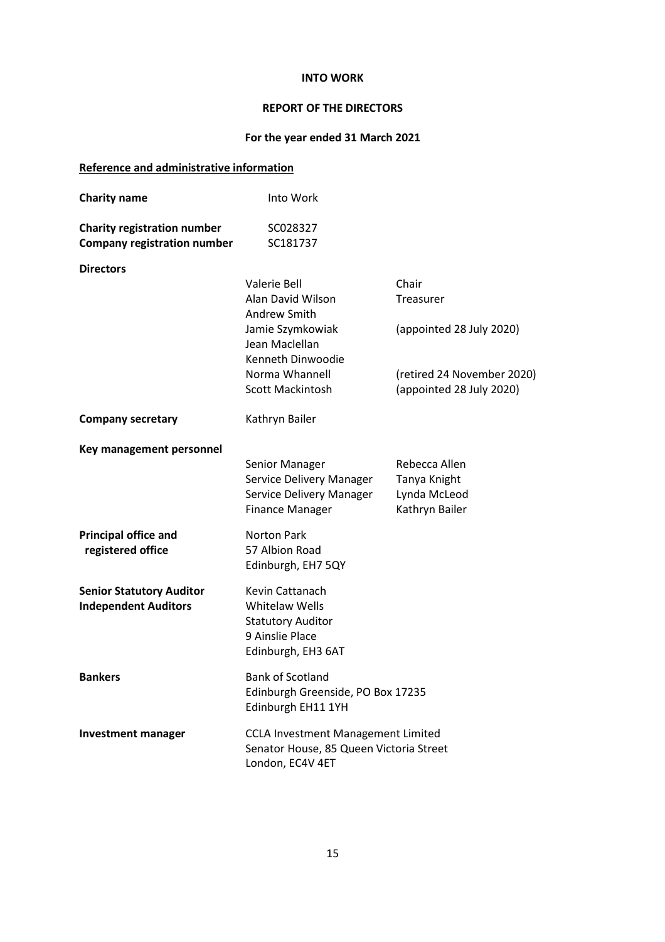## REPORT OF THE DIRECTORS

# For the year ended 31 March 2021

# Reference and administrative information

| <b>Charity name</b>                                                      | Into Work                                                                                                     |                                                                 |
|--------------------------------------------------------------------------|---------------------------------------------------------------------------------------------------------------|-----------------------------------------------------------------|
| <b>Charity registration number</b><br><b>Company registration number</b> | SC028327<br>SC181737                                                                                          |                                                                 |
| <b>Directors</b>                                                         |                                                                                                               |                                                                 |
|                                                                          | <b>Valerie Bell</b><br>Alan David Wilson<br>Andrew Smith                                                      | Chair<br>Treasurer                                              |
|                                                                          | Jamie Szymkowiak<br>Jean Maclellan<br>Kenneth Dinwoodie                                                       | (appointed 28 July 2020)                                        |
|                                                                          | Norma Whannell<br>Scott Mackintosh                                                                            | (retired 24 November 2020)<br>(appointed 28 July 2020)          |
| <b>Company secretary</b>                                                 | Kathryn Bailer                                                                                                |                                                                 |
| Key management personnel                                                 | Senior Manager<br>Service Delivery Manager<br>Service Delivery Manager<br><b>Finance Manager</b>              | Rebecca Allen<br>Tanya Knight<br>Lynda McLeod<br>Kathryn Bailer |
| <b>Principal office and</b><br>registered office                         | Norton Park<br>57 Albion Road<br>Edinburgh, EH7 5QY                                                           |                                                                 |
| <b>Senior Statutory Auditor</b><br><b>Independent Auditors</b>           | Kevin Cattanach<br><b>Whitelaw Wells</b><br><b>Statutory Auditor</b><br>9 Ainslie Place<br>Edinburgh, EH3 6AT |                                                                 |
| <b>Bankers</b>                                                           | <b>Bank of Scotland</b><br>Edinburgh Greenside, PO Box 17235<br>Edinburgh EH11 1YH                            |                                                                 |
| <b>Investment manager</b>                                                | <b>CCLA Investment Management Limited</b><br>Senator House, 85 Queen Victoria Street<br>London, EC4V 4ET      |                                                                 |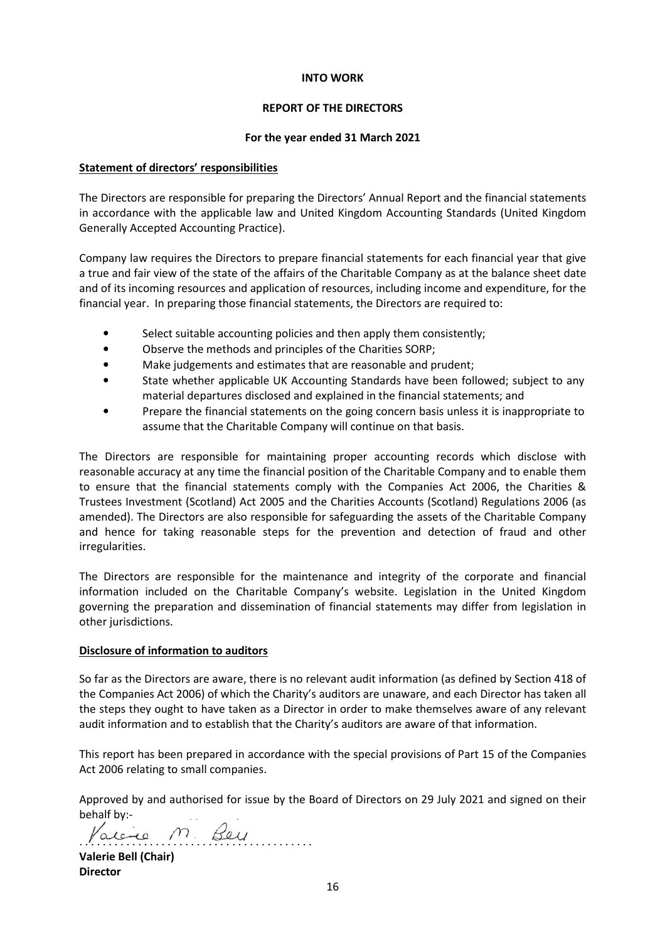## REPORT OF THE DIRECTORS

## For the year ended 31 March 2021

## Statement of directors' responsibilities

The Directors are responsible for preparing the Directors' Annual Report and the financial statements in accordance with the applicable law and United Kingdom Accounting Standards (United Kingdom Generally Accepted Accounting Practice).

Company law requires the Directors to prepare financial statements for each financial year that give a true and fair view of the state of the affairs of the Charitable Company as at the balance sheet date and of its incoming resources and application of resources, including income and expenditure, for the financial year. In preparing those financial statements, the Directors are required to:

- Select suitable accounting policies and then apply them consistently;
- Observe the methods and principles of the Charities SORP;
- Make judgements and estimates that are reasonable and prudent;
- State whether applicable UK Accounting Standards have been followed; subject to any material departures disclosed and explained in the financial statements; and
- Prepare the financial statements on the going concern basis unless it is inappropriate to assume that the Charitable Company will continue on that basis.

The Directors are responsible for maintaining proper accounting records which disclose with reasonable accuracy at any time the financial position of the Charitable Company and to enable them to ensure that the financial statements comply with the Companies Act 2006, the Charities & Trustees Investment (Scotland) Act 2005 and the Charities Accounts (Scotland) Regulations 2006 (as amended). The Directors are also responsible for safeguarding the assets of the Charitable Company and hence for taking reasonable steps for the prevention and detection of fraud and other irregularities.

The Directors are responsible for the maintenance and integrity of the corporate and financial information included on the Charitable Company's website. Legislation in the United Kingdom governing the preparation and dissemination of financial statements may differ from legislation in other jurisdictions.

## Disclosure of information to auditors

So far as the Directors are aware, there is no relevant audit information (as defined by Section 418 of the Companies Act 2006) of which the Charity's auditors are unaware, and each Director has taken all the steps they ought to have taken as a Director in order to make themselves aware of any relevant audit information and to establish that the Charity's auditors are aware of that information.

This report has been prepared in accordance with the special provisions of Part 15 of the Companies Act 2006 relating to small companies.

Approved by and authorised for issue by the Board of Directors on 29 July 2021 and signed on their behalf by:-

aien m. Beu Valerie Bell (Chair)

Director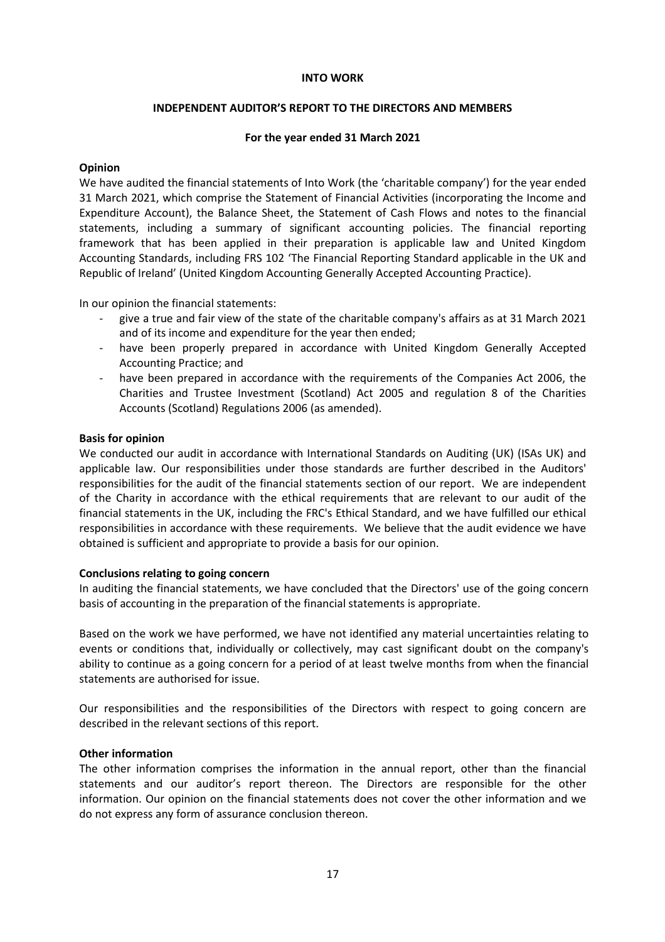## INDEPENDENT AUDITOR'S REPORT TO THE DIRECTORS AND MEMBERS

## For the year ended 31 March 2021

## Opinion

We have audited the financial statements of Into Work (the 'charitable company') for the year ended 31 March 2021, which comprise the Statement of Financial Activities (incorporating the Income and Expenditure Account), the Balance Sheet, the Statement of Cash Flows and notes to the financial statements, including a summary of significant accounting policies. The financial reporting framework that has been applied in their preparation is applicable law and United Kingdom Accounting Standards, including FRS 102 'The Financial Reporting Standard applicable in the UK and Republic of Ireland' (United Kingdom Accounting Generally Accepted Accounting Practice).

In our opinion the financial statements:

- give a true and fair view of the state of the charitable company's affairs as at 31 March 2021 and of its income and expenditure for the year then ended;
- have been properly prepared in accordance with United Kingdom Generally Accepted Accounting Practice; and
- have been prepared in accordance with the requirements of the Companies Act 2006, the Charities and Trustee Investment (Scotland) Act 2005 and regulation 8 of the Charities Accounts (Scotland) Regulations 2006 (as amended).

## Basis for opinion

We conducted our audit in accordance with International Standards on Auditing (UK) (ISAs UK) and applicable law. Our responsibilities under those standards are further described in the Auditors' responsibilities for the audit of the financial statements section of our report. We are independent of the Charity in accordance with the ethical requirements that are relevant to our audit of the financial statements in the UK, including the FRC's Ethical Standard, and we have fulfilled our ethical responsibilities in accordance with these requirements. We believe that the audit evidence we have obtained is sufficient and appropriate to provide a basis for our opinion.

#### Conclusions relating to going concern

In auditing the financial statements, we have concluded that the Directors' use of the going concern basis of accounting in the preparation of the financial statements is appropriate.

Based on the work we have performed, we have not identified any material uncertainties relating to events or conditions that, individually or collectively, may cast significant doubt on the company's ability to continue as a going concern for a period of at least twelve months from when the financial statements are authorised for issue.

Our responsibilities and the responsibilities of the Directors with respect to going concern are described in the relevant sections of this report.

## Other information

The other information comprises the information in the annual report, other than the financial statements and our auditor's report thereon. The Directors are responsible for the other information. Our opinion on the financial statements does not cover the other information and we do not express any form of assurance conclusion thereon.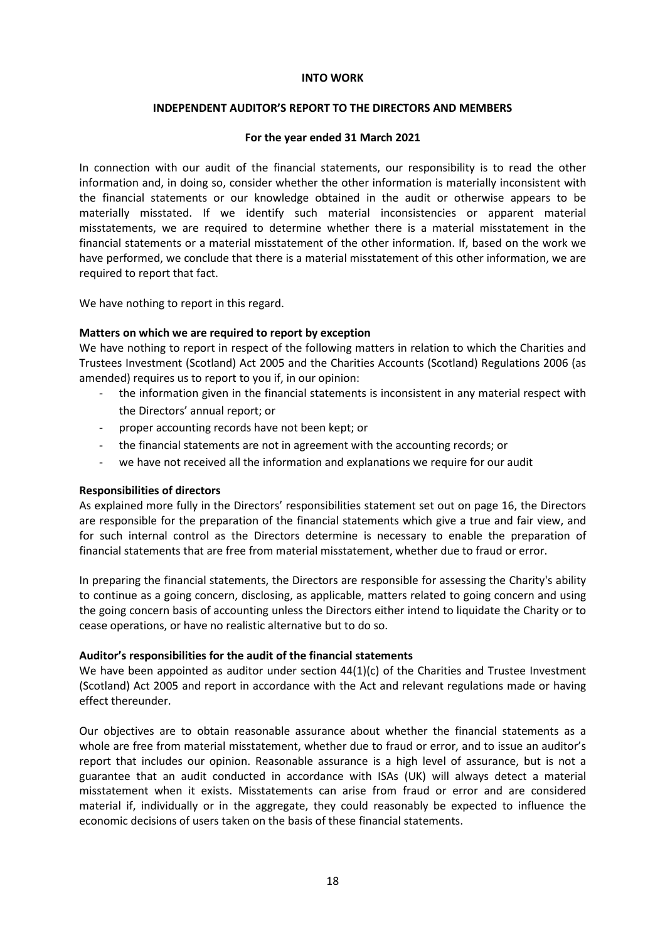## INDEPENDENT AUDITOR'S REPORT TO THE DIRECTORS AND MEMBERS

## For the year ended 31 March 2021

In connection with our audit of the financial statements, our responsibility is to read the other information and, in doing so, consider whether the other information is materially inconsistent with the financial statements or our knowledge obtained in the audit or otherwise appears to be materially misstated. If we identify such material inconsistencies or apparent material misstatements, we are required to determine whether there is a material misstatement in the financial statements or a material misstatement of the other information. If, based on the work we have performed, we conclude that there is a material misstatement of this other information, we are required to report that fact.

We have nothing to report in this regard.

## Matters on which we are required to report by exception

We have nothing to report in respect of the following matters in relation to which the Charities and Trustees Investment (Scotland) Act 2005 and the Charities Accounts (Scotland) Regulations 2006 (as amended) requires us to report to you if, in our opinion:

- the information given in the financial statements is inconsistent in any material respect with the Directors' annual report; or
- proper accounting records have not been kept; or
- the financial statements are not in agreement with the accounting records; or
- we have not received all the information and explanations we require for our audit

## Responsibilities of directors

As explained more fully in the Directors' responsibilities statement set out on page 16, the Directors are responsible for the preparation of the financial statements which give a true and fair view, and for such internal control as the Directors determine is necessary to enable the preparation of financial statements that are free from material misstatement, whether due to fraud or error.

In preparing the financial statements, the Directors are responsible for assessing the Charity's ability to continue as a going concern, disclosing, as applicable, matters related to going concern and using the going concern basis of accounting unless the Directors either intend to liquidate the Charity or to cease operations, or have no realistic alternative but to do so.

#### Auditor's responsibilities for the audit of the financial statements

We have been appointed as auditor under section 44(1)(c) of the Charities and Trustee Investment (Scotland) Act 2005 and report in accordance with the Act and relevant regulations made or having effect thereunder.

Our objectives are to obtain reasonable assurance about whether the financial statements as a whole are free from material misstatement, whether due to fraud or error, and to issue an auditor's report that includes our opinion. Reasonable assurance is a high level of assurance, but is not a guarantee that an audit conducted in accordance with ISAs (UK) will always detect a material misstatement when it exists. Misstatements can arise from fraud or error and are considered material if, individually or in the aggregate, they could reasonably be expected to influence the economic decisions of users taken on the basis of these financial statements.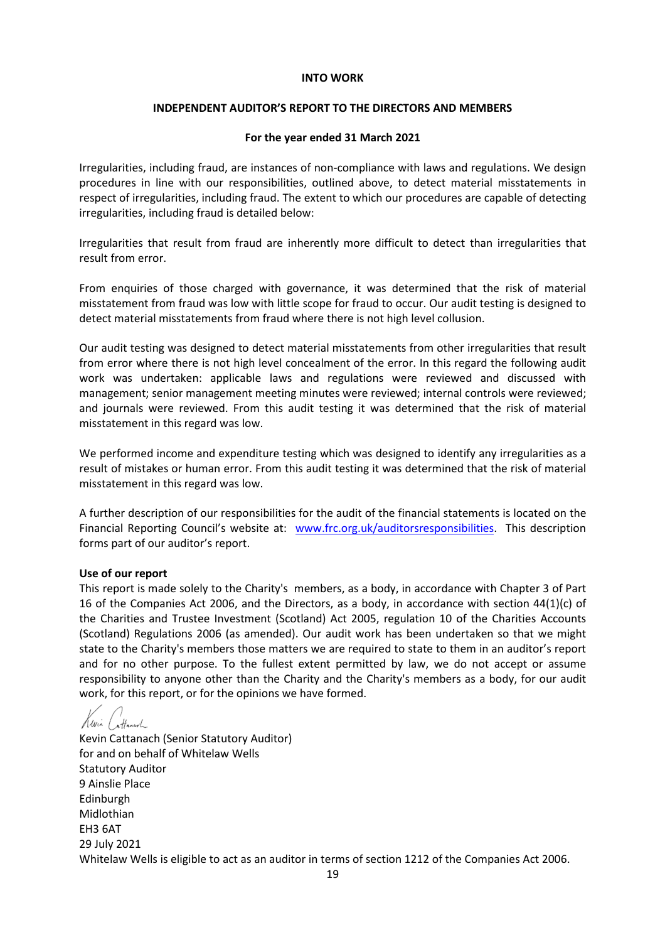## INDEPENDENT AUDITOR'S REPORT TO THE DIRECTORS AND MEMBERS

#### For the year ended 31 March 2021

Irregularities, including fraud, are instances of non-compliance with laws and regulations. We design procedures in line with our responsibilities, outlined above, to detect material misstatements in respect of irregularities, including fraud. The extent to which our procedures are capable of detecting irregularities, including fraud is detailed below:

Irregularities that result from fraud are inherently more difficult to detect than irregularities that result from error.

From enquiries of those charged with governance, it was determined that the risk of material misstatement from fraud was low with little scope for fraud to occur. Our audit testing is designed to detect material misstatements from fraud where there is not high level collusion.

Our audit testing was designed to detect material misstatements from other irregularities that result from error where there is not high level concealment of the error. In this regard the following audit work was undertaken: applicable laws and regulations were reviewed and discussed with management; senior management meeting minutes were reviewed; internal controls were reviewed; and journals were reviewed. From this audit testing it was determined that the risk of material misstatement in this regard was low.

We performed income and expenditure testing which was designed to identify any irregularities as a result of mistakes or human error. From this audit testing it was determined that the risk of material misstatement in this regard was low.

A further description of our responsibilities for the audit of the financial statements is located on the Financial Reporting Council's website at: www.frc.org.uk/auditorsresponsibilities. This description forms part of our auditor's report.

#### Use of our report

This report is made solely to the Charity's members, as a body, in accordance with Chapter 3 of Part 16 of the Companies Act 2006, and the Directors, as a body, in accordance with section 44(1)(c) of the Charities and Trustee Investment (Scotland) Act 2005, regulation 10 of the Charities Accounts (Scotland) Regulations 2006 (as amended). Our audit work has been undertaken so that we might state to the Charity's members those matters we are required to state to them in an auditor's report and for no other purpose. To the fullest extent permitted by law, we do not accept or assume responsibility to anyone other than the Charity and the Charity's members as a body, for our audit work, for this report, or for the opinions we have formed.

Kwin Cattanach

Kevin Cattanach (Senior Statutory Auditor) for and on behalf of Whitelaw Wells Statutory Auditor 9 Ainslie Place Edinburgh Midlothian EH3 6AT 29 July 2021 Whitelaw Wells is eligible to act as an auditor in terms of section 1212 of the Companies Act 2006.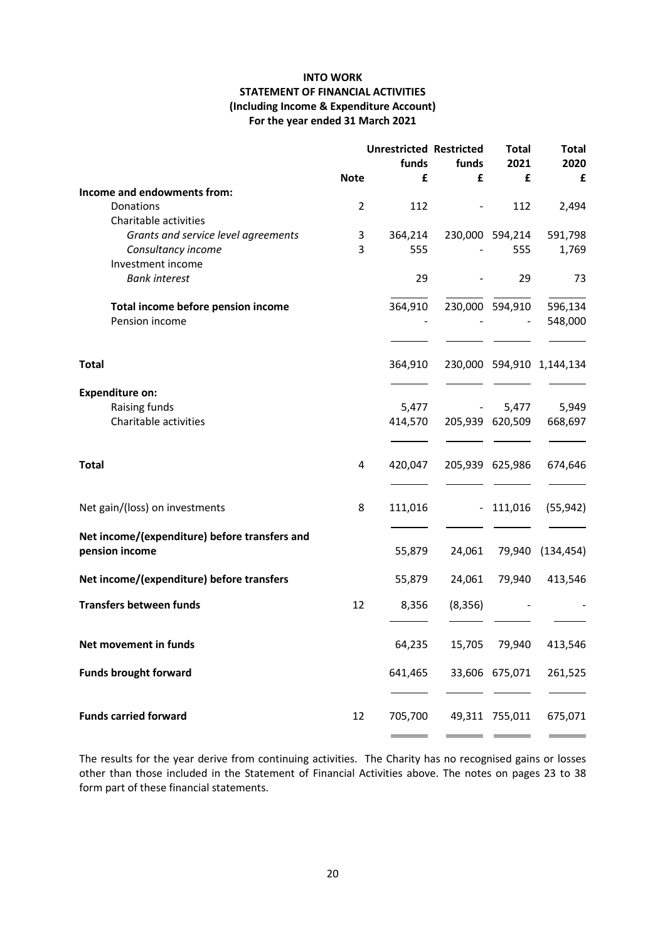## INTO WORK STATEMENT OF FINANCIAL ACTIVITIES (Including Income & Expenditure Account) For the year ended 31 March 2021

|                                                                 |             | <b>Unrestricted Restricted</b><br>funds | funds                    | <b>Total</b><br>2021 | <b>Total</b><br>2020      |
|-----------------------------------------------------------------|-------------|-----------------------------------------|--------------------------|----------------------|---------------------------|
|                                                                 | <b>Note</b> | £                                       | £                        | £                    | £                         |
| Income and endowments from:                                     |             |                                         |                          |                      |                           |
| Donations                                                       | 2           | 112                                     |                          | 112                  | 2,494                     |
| Charitable activities                                           |             |                                         |                          |                      |                           |
| Grants and service level agreements                             | 3           | 364,214                                 |                          | 230,000 594,214      | 591,798                   |
| Consultancy income                                              | 3           | 555                                     |                          | 555                  | 1,769                     |
| Investment income                                               |             |                                         |                          |                      |                           |
| <b>Bank interest</b>                                            |             | 29                                      |                          | 29                   | 73                        |
| Total income before pension income                              |             | 364,910                                 |                          | 230,000 594,910      | 596,134                   |
| Pension income                                                  |             |                                         |                          |                      | 548,000                   |
|                                                                 |             |                                         |                          |                      |                           |
| <b>Total</b>                                                    |             | 364,910                                 |                          |                      | 230,000 594,910 1,144,134 |
|                                                                 |             |                                         |                          |                      |                           |
| <b>Expenditure on:</b>                                          |             |                                         |                          |                      |                           |
| Raising funds                                                   |             | 5,477                                   | $\overline{\phantom{a}}$ | 5,477                | 5,949                     |
| Charitable activities                                           |             | 414,570                                 |                          | 205,939 620,509      | 668,697                   |
|                                                                 |             |                                         |                          |                      |                           |
| <b>Total</b>                                                    | 4           | 420,047                                 |                          | 205,939 625,986      | 674,646                   |
| Net gain/(loss) on investments                                  | 8           | 111,016                                 | $\sim$                   | 111,016              | (55, 942)                 |
|                                                                 |             |                                         |                          |                      |                           |
| Net income/(expenditure) before transfers and<br>pension income |             | 55,879                                  | 24,061                   | 79,940               | (134, 454)                |
| Net income/(expenditure) before transfers                       |             | 55,879                                  | 24,061                   | 79,940               | 413,546                   |
| <b>Transfers between funds</b>                                  | 12          | 8,356                                   | (8,356)                  |                      |                           |
| Net movement in funds                                           |             | 64,235                                  | 15,705                   | 79,940               | 413,546                   |
| <b>Funds brought forward</b>                                    |             | 641,465                                 |                          | 33,606 675,071       | 261,525                   |
| <b>Funds carried forward</b>                                    | 12          | 705,700                                 |                          | 49,311 755,011       | 675,071                   |
|                                                                 |             |                                         |                          |                      |                           |

The results for the year derive from continuing activities. The Charity has no recognised gains or losses other than those included in the Statement of Financial Activities above. The notes on pages 23 to 38 form part of these financial statements.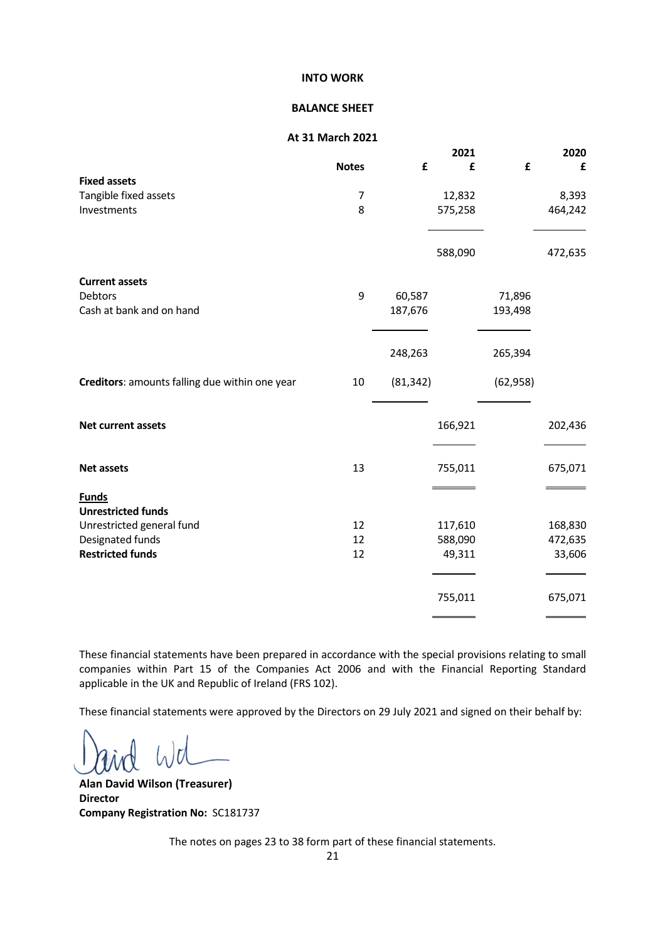#### BALANCE SHEET

#### At 31 March 2021

|                                                |              |           | 2021    |           | 2020    |
|------------------------------------------------|--------------|-----------|---------|-----------|---------|
|                                                | <b>Notes</b> | £         | £       | £         | £       |
| <b>Fixed assets</b>                            |              |           |         |           |         |
| Tangible fixed assets                          | 7            |           | 12,832  |           | 8,393   |
| Investments                                    | 8            |           | 575,258 |           | 464,242 |
|                                                |              |           |         |           |         |
|                                                |              |           | 588,090 |           | 472,635 |
| <b>Current assets</b>                          |              |           |         |           |         |
| Debtors                                        | 9            | 60,587    |         | 71,896    |         |
| Cash at bank and on hand                       |              | 187,676   |         | 193,498   |         |
|                                                |              |           |         |           |         |
|                                                |              | 248,263   |         | 265,394   |         |
| Creditors: amounts falling due within one year | 10           | (81, 342) |         | (62, 958) |         |
|                                                |              |           |         |           |         |
| Net current assets                             |              |           | 166,921 |           | 202,436 |
| <b>Net assets</b>                              | 13           |           | 755,011 |           | 675,071 |
|                                                |              |           |         |           |         |
| <b>Funds</b>                                   |              |           |         |           |         |
| <b>Unrestricted funds</b>                      |              |           |         |           |         |
| Unrestricted general fund                      | 12           |           | 117,610 |           | 168,830 |
| Designated funds                               | 12           |           | 588,090 |           | 472,635 |
| <b>Restricted funds</b>                        | 12           |           | 49,311  |           | 33,606  |
|                                                |              |           |         |           |         |
|                                                |              |           | 755,011 |           | 675,071 |

These financial statements have been prepared in accordance with the special provisions relating to small companies within Part 15 of the Companies Act 2006 and with the Financial Reporting Standard applicable in the UK and Republic of Ireland (FRS 102).

These financial statements were approved by the Directors on 29 July 2021 and signed on their behalf by:

Alan David Wilson (Treasurer) Director Company Registration No: SC181737

The notes on pages 23 to 38 form part of these financial statements.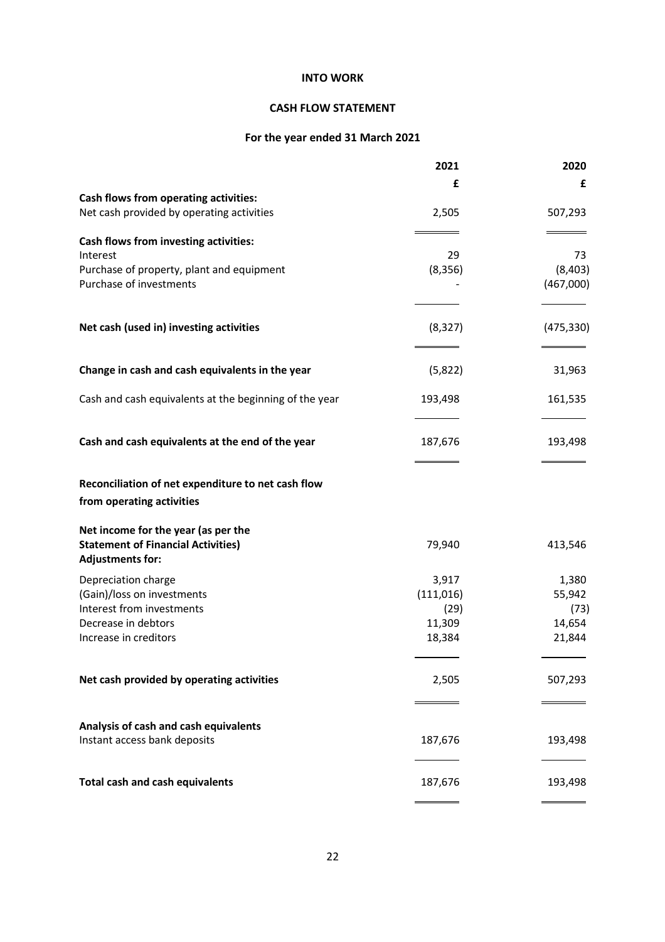## CASH FLOW STATEMENT

# For the year ended 31 March 2021

|                                                                       | 2021       | 2020       |
|-----------------------------------------------------------------------|------------|------------|
|                                                                       | £          | £          |
| Cash flows from operating activities:                                 |            |            |
| Net cash provided by operating activities                             | 2,505      | 507,293    |
| Cash flows from investing activities:                                 |            |            |
| Interest                                                              | 29         | 73         |
| Purchase of property, plant and equipment                             | (8, 356)   | (8,403)    |
| Purchase of investments                                               |            | (467,000)  |
| Net cash (used in) investing activities                               | (8, 327)   | (475, 330) |
| Change in cash and cash equivalents in the year                       | (5,822)    | 31,963     |
| Cash and cash equivalents at the beginning of the year                | 193,498    | 161,535    |
|                                                                       |            |            |
| Cash and cash equivalents at the end of the year                      | 187,676    | 193,498    |
| Reconciliation of net expenditure to net cash flow                    |            |            |
| from operating activities                                             |            |            |
| Net income for the year (as per the                                   |            |            |
| <b>Statement of Financial Activities)</b><br><b>Adjustments for:</b>  | 79,940     | 413,546    |
| Depreciation charge                                                   | 3,917      | 1,380      |
| (Gain)/loss on investments                                            | (111, 016) | 55,942     |
| Interest from investments                                             | (29)       | (73)       |
| Decrease in debtors                                                   | 11,309     | 14,654     |
| Increase in creditors                                                 | 18,384     | 21,844     |
| Net cash provided by operating activities                             | 2,505      | 507,293    |
|                                                                       |            |            |
| Analysis of cash and cash equivalents<br>Instant access bank deposits | 187,676    | 193,498    |
| <b>Total cash and cash equivalents</b>                                | 187,676    | 193,498    |
|                                                                       |            |            |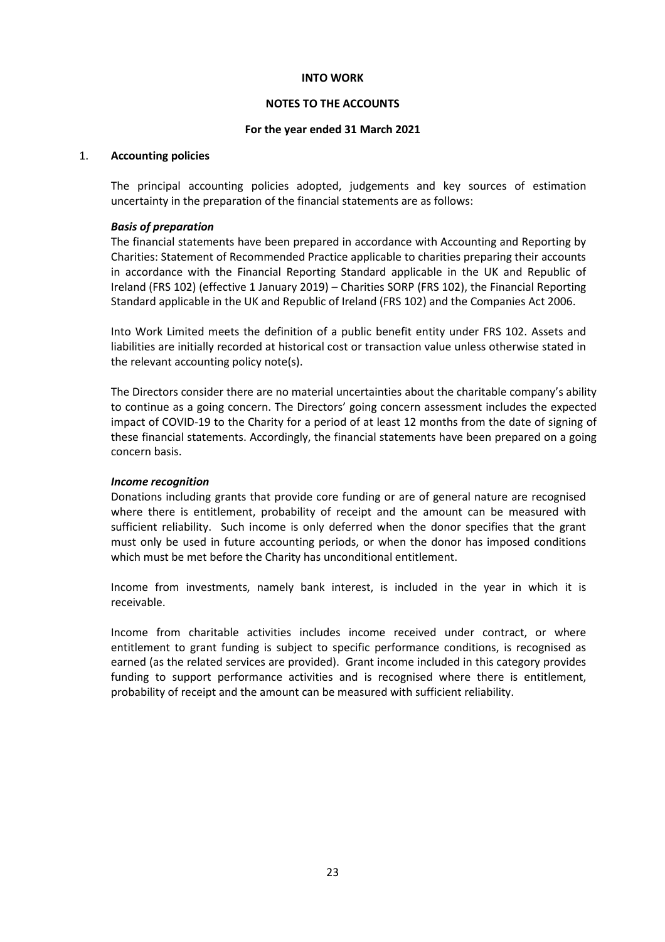## NOTES TO THE ACCOUNTS

## For the year ended 31 March 2021

#### 1. Accounting policies

The principal accounting policies adopted, judgements and key sources of estimation uncertainty in the preparation of the financial statements are as follows:

## Basis of preparation

 The financial statements have been prepared in accordance with Accounting and Reporting by Charities: Statement of Recommended Practice applicable to charities preparing their accounts in accordance with the Financial Reporting Standard applicable in the UK and Republic of Ireland (FRS 102) (effective 1 January 2019) – Charities SORP (FRS 102), the Financial Reporting Standard applicable in the UK and Republic of Ireland (FRS 102) and the Companies Act 2006.

 Into Work Limited meets the definition of a public benefit entity under FRS 102. Assets and liabilities are initially recorded at historical cost or transaction value unless otherwise stated in the relevant accounting policy note(s).

The Directors consider there are no material uncertainties about the charitable company's ability to continue as a going concern. The Directors' going concern assessment includes the expected impact of COVID-19 to the Charity for a period of at least 12 months from the date of signing of these financial statements. Accordingly, the financial statements have been prepared on a going concern basis.

## Income recognition

 Donations including grants that provide core funding or are of general nature are recognised where there is entitlement, probability of receipt and the amount can be measured with sufficient reliability. Such income is only deferred when the donor specifies that the grant must only be used in future accounting periods, or when the donor has imposed conditions which must be met before the Charity has unconditional entitlement.

Income from investments, namely bank interest, is included in the year in which it is receivable.

 Income from charitable activities includes income received under contract, or where entitlement to grant funding is subject to specific performance conditions, is recognised as earned (as the related services are provided). Grant income included in this category provides funding to support performance activities and is recognised where there is entitlement, probability of receipt and the amount can be measured with sufficient reliability.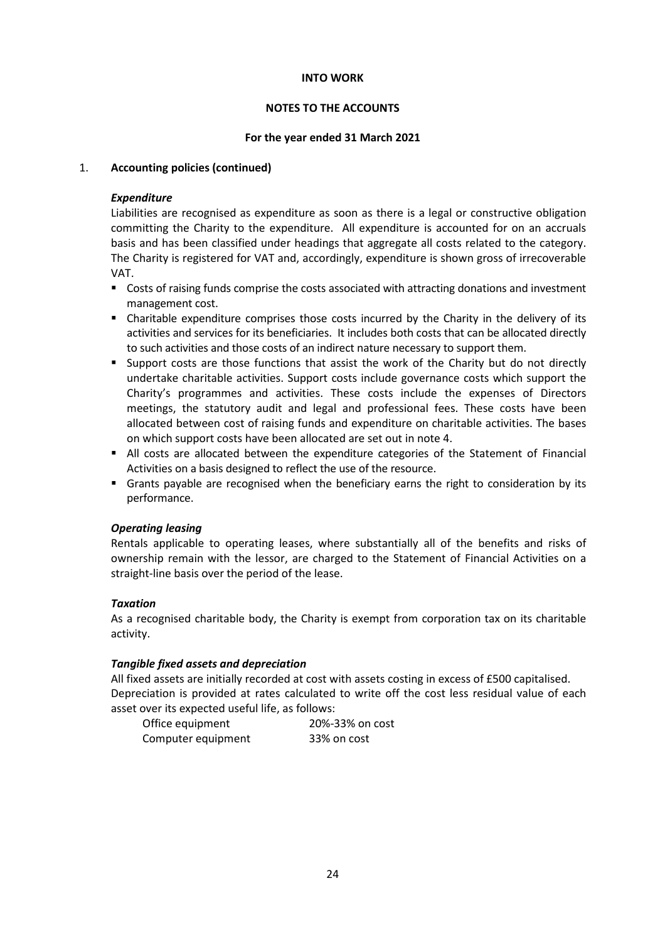## NOTES TO THE ACCOUNTS

## For the year ended 31 March 2021

## 1. Accounting policies (continued)

## Expenditure

Liabilities are recognised as expenditure as soon as there is a legal or constructive obligation committing the Charity to the expenditure. All expenditure is accounted for on an accruals basis and has been classified under headings that aggregate all costs related to the category. The Charity is registered for VAT and, accordingly, expenditure is shown gross of irrecoverable VAT.

- Costs of raising funds comprise the costs associated with attracting donations and investment management cost.
- Charitable expenditure comprises those costs incurred by the Charity in the delivery of its activities and services for its beneficiaries. It includes both costs that can be allocated directly to such activities and those costs of an indirect nature necessary to support them.
- Support costs are those functions that assist the work of the Charity but do not directly undertake charitable activities. Support costs include governance costs which support the Charity's programmes and activities. These costs include the expenses of Directors meetings, the statutory audit and legal and professional fees. These costs have been allocated between cost of raising funds and expenditure on charitable activities. The bases on which support costs have been allocated are set out in note 4.
- All costs are allocated between the expenditure categories of the Statement of Financial Activities on a basis designed to reflect the use of the resource.
- Grants payable are recognised when the beneficiary earns the right to consideration by its performance.

## Operating leasing

Rentals applicable to operating leases, where substantially all of the benefits and risks of ownership remain with the lessor, are charged to the Statement of Financial Activities on a straight-line basis over the period of the lease.

## Taxation

 As a recognised charitable body, the Charity is exempt from corporation tax on its charitable activity.

## Tangible fixed assets and depreciation

 All fixed assets are initially recorded at cost with assets costing in excess of £500 capitalised. Depreciation is provided at rates calculated to write off the cost less residual value of each asset over its expected useful life, as follows:

| Office equipment   | 20%-33% on cost |
|--------------------|-----------------|
| Computer equipment | 33% on cost     |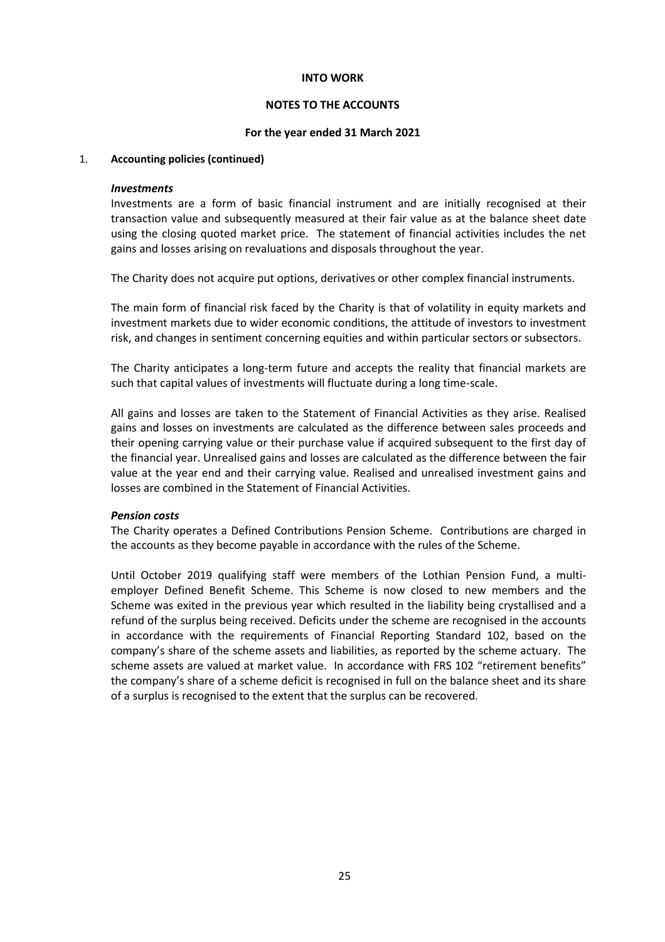## NOTES TO THE ACCOUNTS

#### For the year ended 31 March 2021

## 1. Accounting policies (continued)

#### Investments

 Investments are a form of basic financial instrument and are initially recognised at their transaction value and subsequently measured at their fair value as at the balance sheet date using the closing quoted market price. The statement of financial activities includes the net gains and losses arising on revaluations and disposals throughout the year.

The Charity does not acquire put options, derivatives or other complex financial instruments.

The main form of financial risk faced by the Charity is that of volatility in equity markets and investment markets due to wider economic conditions, the attitude of investors to investment risk, and changes in sentiment concerning equities and within particular sectors or subsectors.

 The Charity anticipates a long-term future and accepts the reality that financial markets are such that capital values of investments will fluctuate during a long time-scale.

All gains and losses are taken to the Statement of Financial Activities as they arise. Realised gains and losses on investments are calculated as the difference between sales proceeds and their opening carrying value or their purchase value if acquired subsequent to the first day of the financial year. Unrealised gains and losses are calculated as the difference between the fair value at the year end and their carrying value. Realised and unrealised investment gains and losses are combined in the Statement of Financial Activities.

#### Pension costs

The Charity operates a Defined Contributions Pension Scheme. Contributions are charged in the accounts as they become payable in accordance with the rules of the Scheme.

Until October 2019 qualifying staff were members of the Lothian Pension Fund, a multiemployer Defined Benefit Scheme. This Scheme is now closed to new members and the Scheme was exited in the previous year which resulted in the liability being crystallised and a refund of the surplus being received. Deficits under the scheme are recognised in the accounts in accordance with the requirements of Financial Reporting Standard 102, based on the company's share of the scheme assets and liabilities, as reported by the scheme actuary. The scheme assets are valued at market value. In accordance with FRS 102 "retirement benefits" the company's share of a scheme deficit is recognised in full on the balance sheet and its share of a surplus is recognised to the extent that the surplus can be recovered.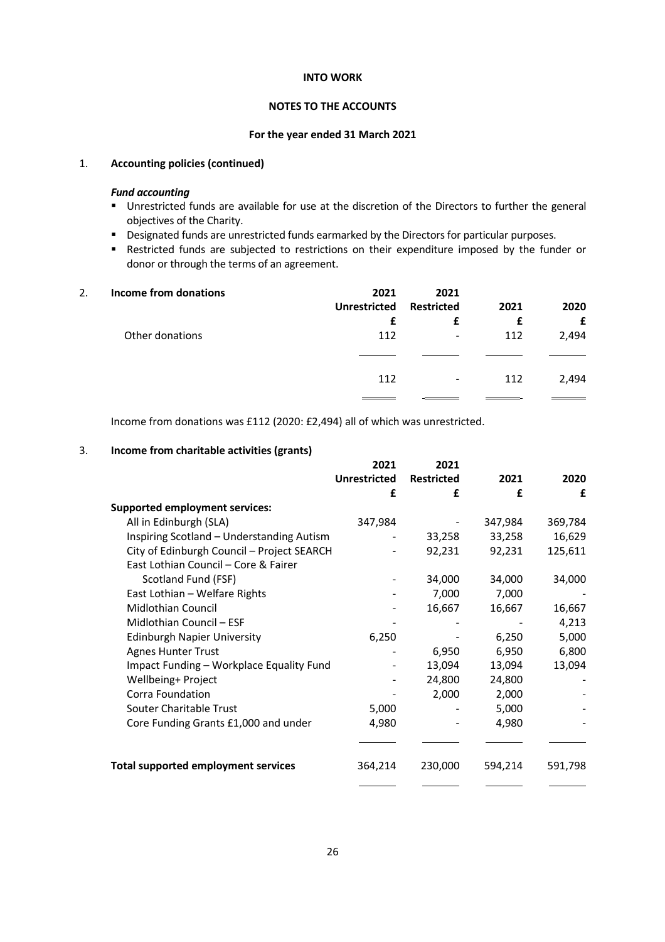## NOTES TO THE ACCOUNTS

#### For the year ended 31 March 2021

#### 1. Accounting policies (continued)

## Fund accounting

- **Unrestricted funds are available for use at the discretion of the Directors to further the general** objectives of the Charity.
- Designated funds are unrestricted funds earmarked by the Directors for particular purposes.
- Restricted funds are subjected to restrictions on their expenditure imposed by the funder or donor or through the terms of an agreement.

| 2. | Income from donations | 2021<br><b>Unrestricted</b> | 2021<br><b>Restricted</b> | 2021 | 2020  |
|----|-----------------------|-----------------------------|---------------------------|------|-------|
|    |                       | £                           |                           | £    |       |
|    | Other donations       | 112                         | -                         | 112  | 2,494 |
|    |                       | 112                         | $\blacksquare$            | 112  | 2,494 |
|    |                       |                             |                           |      |       |

Income from donations was £112 (2020: £2,494) all of which was unrestricted.

## 3. Income from charitable activities (grants)

|                                            | 2021                | 2021              |         |         |
|--------------------------------------------|---------------------|-------------------|---------|---------|
|                                            | <b>Unrestricted</b> | <b>Restricted</b> | 2021    | 2020    |
|                                            | £                   | £                 | £       | £       |
| <b>Supported employment services:</b>      |                     |                   |         |         |
| All in Edinburgh (SLA)                     | 347,984             |                   | 347,984 | 369,784 |
| Inspiring Scotland - Understanding Autism  |                     | 33,258            | 33,258  | 16,629  |
| City of Edinburgh Council - Project SEARCH |                     | 92,231            | 92,231  | 125,611 |
| East Lothian Council - Core & Fairer       |                     |                   |         |         |
| Scotland Fund (FSF)                        |                     | 34,000            | 34,000  | 34,000  |
| East Lothian - Welfare Rights              |                     | 7,000             | 7,000   |         |
| <b>Midlothian Council</b>                  |                     | 16,667            | 16,667  | 16,667  |
| Midlothian Council - ESF                   |                     |                   |         | 4,213   |
| <b>Edinburgh Napier University</b>         | 6,250               |                   | 6,250   | 5,000   |
| <b>Agnes Hunter Trust</b>                  |                     | 6,950             | 6,950   | 6,800   |
| Impact Funding - Workplace Equality Fund   |                     | 13,094            | 13,094  | 13,094  |
| Wellbeing+ Project                         |                     | 24,800            | 24,800  |         |
| Corra Foundation                           |                     | 2,000             | 2,000   |         |
| Souter Charitable Trust                    | 5,000               |                   | 5,000   |         |
| Core Funding Grants £1,000 and under       | 4,980               |                   | 4,980   |         |
|                                            |                     |                   |         |         |
| <b>Total supported employment services</b> | 364,214             | 230,000           | 594,214 | 591,798 |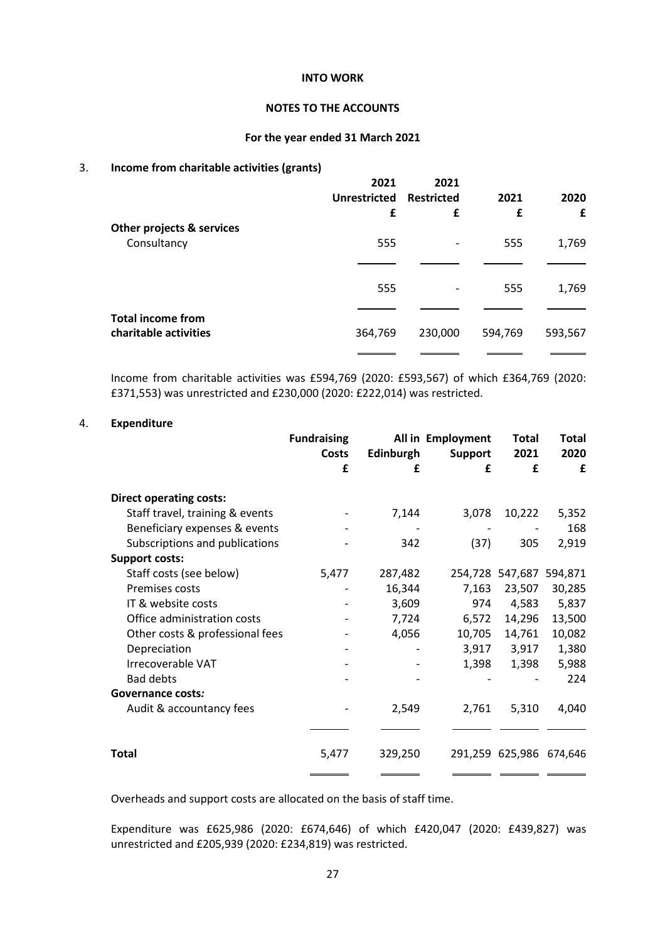## NOTES TO THE ACCOUNTS

#### For the year ended 31 March 2021

## 3. Income from charitable activities (grants)

|                           | 2021<br><b>Unrestricted</b> | 2021<br><b>Restricted</b> | 2021    | 2020    |
|---------------------------|-----------------------------|---------------------------|---------|---------|
|                           | £                           | £                         | £       | £       |
| Other projects & services |                             |                           |         |         |
| Consultancy               | 555                         | $\overline{\phantom{a}}$  | 555     | 1,769   |
|                           |                             |                           |         |         |
|                           | 555                         | $\overline{\phantom{a}}$  | 555     | 1,769   |
| <b>Total income from</b>  |                             |                           |         |         |
| charitable activities     | 364,769                     | 230,000                   | 594,769 | 593,567 |
|                           |                             |                           |         |         |

Income from charitable activities was £594,769 (2020: £593,567) of which £364,769 (2020: £371,553) was unrestricted and £230,000 (2020: £222,014) was restricted.

## 4. Expenditure

|                                 | <b>Fundraising</b><br>Costs | Edinburgh | All in Employment<br><b>Total</b><br>2021<br><b>Support</b> |                         | Total<br>2020 |  |
|---------------------------------|-----------------------------|-----------|-------------------------------------------------------------|-------------------------|---------------|--|
|                                 | £                           | £         | £                                                           | £                       | £             |  |
| <b>Direct operating costs:</b>  |                             |           |                                                             |                         |               |  |
| Staff travel, training & events |                             | 7,144     | 3,078                                                       | 10,222                  | 5,352         |  |
| Beneficiary expenses & events   |                             |           |                                                             |                         | 168           |  |
| Subscriptions and publications  |                             | 342       | (37)                                                        | 305                     | 2,919         |  |
| <b>Support costs:</b>           |                             |           |                                                             |                         |               |  |
| Staff costs (see below)         | 5,477                       | 287,482   |                                                             | 254,728 547,687 594,871 |               |  |
| Premises costs                  |                             | 16,344    | 7,163                                                       | 23,507                  | 30,285        |  |
| IT & website costs              |                             | 3,609     | 974                                                         | 4,583                   | 5,837         |  |
| Office administration costs     |                             | 7,724     | 6,572                                                       | 14,296                  | 13,500        |  |
| Other costs & professional fees |                             | 4,056     | 10,705                                                      | 14,761                  | 10,082        |  |
| Depreciation                    |                             |           | 3,917                                                       | 3,917                   | 1,380         |  |
| Irrecoverable VAT               |                             |           | 1,398                                                       | 1,398                   | 5,988         |  |
| <b>Bad debts</b>                |                             |           |                                                             |                         | 224           |  |
| Governance costs:               |                             |           |                                                             |                         |               |  |
| Audit & accountancy fees        |                             | 2,549     | 2,761                                                       | 5,310                   | 4,040         |  |
|                                 |                             |           |                                                             |                         |               |  |
| <b>Total</b>                    | 5,477                       | 329,250   |                                                             | 291,259 625,986 674,646 |               |  |
|                                 |                             |           |                                                             |                         |               |  |

Overheads and support costs are allocated on the basis of staff time.

Expenditure was £625,986 (2020: £674,646) of which £420,047 (2020: £439,827) was unrestricted and £205,939 (2020: £234,819) was restricted.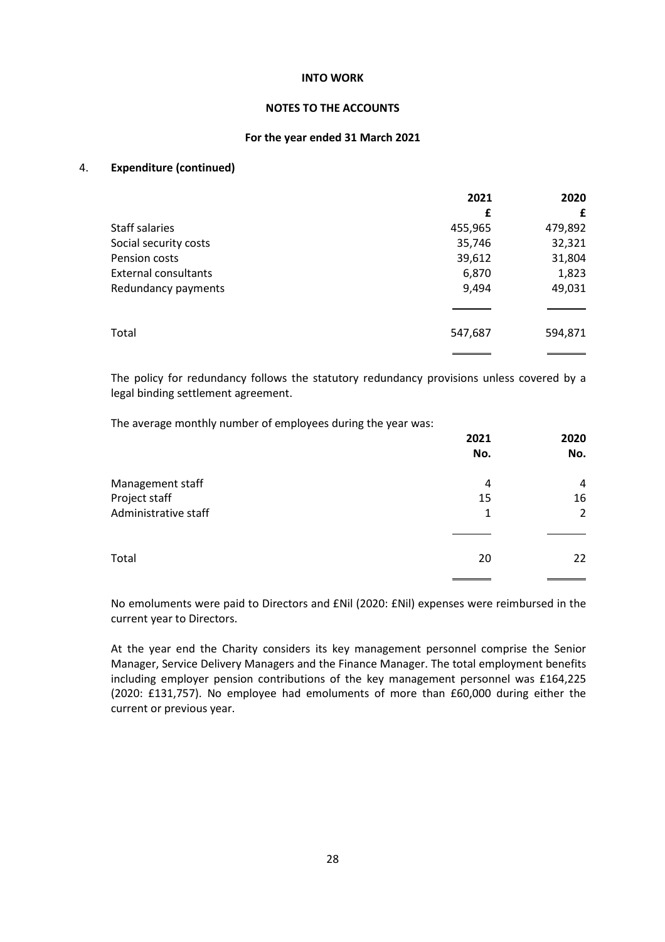## NOTES TO THE ACCOUNTS

## For the year ended 31 March 2021

## 4. Expenditure (continued)

|                       | 2021    | 2020    |
|-----------------------|---------|---------|
|                       | £       | £       |
| Staff salaries        | 455,965 | 479,892 |
| Social security costs | 35,746  | 32,321  |
| Pension costs         | 39,612  | 31,804  |
| External consultants  | 6,870   | 1,823   |
| Redundancy payments   | 9,494   | 49,031  |
|                       |         |         |
| Total                 | 547,687 | 594,871 |
|                       |         |         |

 The policy for redundancy follows the statutory redundancy provisions unless covered by a legal binding settlement agreement.

The average monthly number of employees during the year was:

|                      | 2021 | 2020 |  |
|----------------------|------|------|--|
|                      | No.  | No.  |  |
| Management staff     | 4    | 4    |  |
| Project staff        | 15   | 16   |  |
| Administrative staff | 1    | 2    |  |
|                      |      |      |  |
| Total                | 20   | 22   |  |
|                      |      |      |  |

 No emoluments were paid to Directors and £Nil (2020: £Nil) expenses were reimbursed in the current year to Directors.

 At the year end the Charity considers its key management personnel comprise the Senior Manager, Service Delivery Managers and the Finance Manager. The total employment benefits including employer pension contributions of the key management personnel was £164,225 (2020: £131,757). No employee had emoluments of more than £60,000 during either the current or previous year.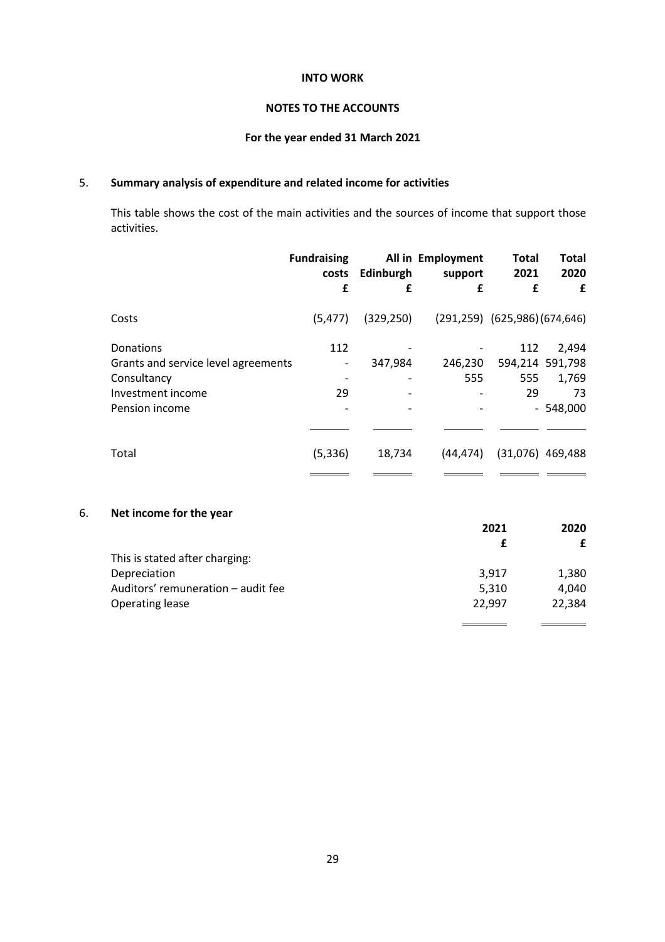## NOTES TO THE ACCOUNTS

## For the year ended 31 March 2021

## 5. Summary analysis of expenditure and related income for activities

This table shows the cost of the main activities and the sources of income that support those activities.

|                                                                                                        | <b>Fundraising</b><br>costs<br>£ | Edinburgh<br>£                                                  | All in Employment<br>support<br>£ | <b>Total</b><br>2021<br>£              | <b>Total</b><br>2020<br>£                             |
|--------------------------------------------------------------------------------------------------------|----------------------------------|-----------------------------------------------------------------|-----------------------------------|----------------------------------------|-------------------------------------------------------|
| Costs                                                                                                  | (5, 477)                         | (329, 250)                                                      |                                   | $(291, 259)$ $(625, 986)$ $(674, 646)$ |                                                       |
| Donations<br>Grants and service level agreements<br>Consultancy<br>Investment income<br>Pension income | 112<br>-<br>29                   | 347,984<br>$\overline{\phantom{a}}$<br>$\overline{\phantom{a}}$ | 246,230<br>555<br>-               | 112<br>555<br>29                       | 2,494<br>594,214 591,798<br>1,769<br>73<br>$-548,000$ |
| Total                                                                                                  | (5, 336)                         | 18,734                                                          | (44, 474)                         | (31,076)                               | 469,488                                               |

## 6. Net income for the year

|                                    | 2021   | 2020   |
|------------------------------------|--------|--------|
|                                    |        | £      |
| This is stated after charging:     |        |        |
| Depreciation                       | 3.917  | 1,380  |
| Auditors' remuneration - audit fee | 5,310  | 4.040  |
| Operating lease                    | 22,997 | 22,384 |
|                                    |        |        |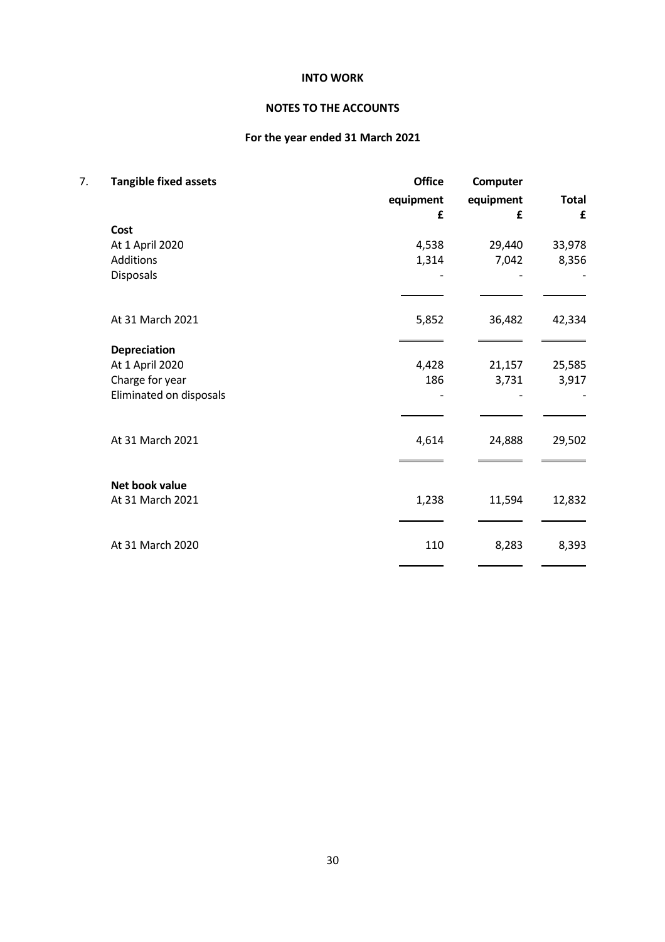# NOTES TO THE ACCOUNTS

# For the year ended 31 March 2021

| 7. | <b>Tangible fixed assets</b> | <b>Office</b> | Computer  | <b>Total</b> |  |
|----|------------------------------|---------------|-----------|--------------|--|
|    |                              | equipment     | equipment |              |  |
|    |                              | £             | £         | £            |  |
|    | Cost                         |               |           |              |  |
|    | At 1 April 2020              | 4,538         | 29,440    | 33,978       |  |
|    | Additions                    | 1,314         | 7,042     | 8,356        |  |
|    | Disposals                    |               |           |              |  |
|    |                              |               |           |              |  |
|    | At 31 March 2021             | 5,852         | 36,482    | 42,334       |  |
|    | <b>Depreciation</b>          |               |           |              |  |
|    | At 1 April 2020              | 4,428         | 21,157    | 25,585       |  |
|    | Charge for year              | 186           | 3,731     | 3,917        |  |
|    | Eliminated on disposals      |               |           |              |  |
|    | At 31 March 2021             | 4,614         | 24,888    | 29,502       |  |
|    |                              |               |           |              |  |
|    | Net book value               |               |           |              |  |
|    | At 31 March 2021             | 1,238         | 11,594    | 12,832       |  |
|    | At 31 March 2020             | 110           | 8,283     | 8,393        |  |
|    |                              |               |           |              |  |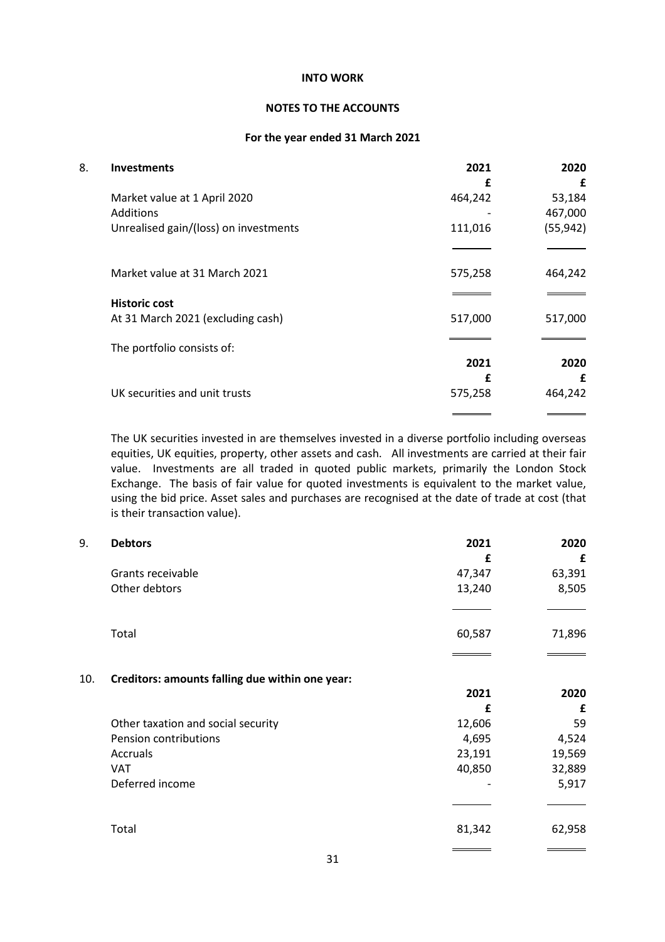## NOTES TO THE ACCOUNTS

### For the year ended 31 March 2021

| 8. | <b>Investments</b>                    | 2021    | 2020      |
|----|---------------------------------------|---------|-----------|
|    |                                       | f       | £         |
|    | Market value at 1 April 2020          | 464,242 | 53,184    |
|    | Additions                             |         | 467,000   |
|    | Unrealised gain/(loss) on investments | 111,016 | (55, 942) |
|    |                                       |         |           |
|    | Market value at 31 March 2021         | 575,258 | 464,242   |
|    | <b>Historic cost</b>                  |         |           |
|    | At 31 March 2021 (excluding cash)     | 517,000 | 517,000   |
|    | The portfolio consists of:            |         |           |
|    |                                       | 2021    | 2020      |
|    |                                       | £       | £         |
|    | UK securities and unit trusts         | 575,258 | 464,242   |
|    |                                       |         |           |

 The UK securities invested in are themselves invested in a diverse portfolio including overseas equities, UK equities, property, other assets and cash. All investments are carried at their fair value. Investments are all traded in quoted public markets, primarily the London Stock Exchange. The basis of fair value for quoted investments is equivalent to the market value, using the bid price. Asset sales and purchases are recognised at the date of trade at cost (that is their transaction value).

| 9.  | <b>Debtors</b>                                  | 2021   | 2020   |
|-----|-------------------------------------------------|--------|--------|
|     |                                                 | £      | £      |
|     | Grants receivable                               | 47,347 | 63,391 |
|     | Other debtors                                   | 13,240 | 8,505  |
|     |                                                 |        |        |
|     | Total                                           | 60,587 | 71,896 |
|     |                                                 |        |        |
| 10. | Creditors: amounts falling due within one year: |        |        |
|     |                                                 | 2021   | 2020   |
|     |                                                 | £      | £      |
|     | Other taxation and social security              | 12,606 | 59     |
|     | Pension contributions                           | 4,695  | 4,524  |
|     | Accruals                                        | 23,191 | 19,569 |
|     | <b>VAT</b>                                      | 40,850 | 32,889 |
|     | Deferred income                                 |        | 5,917  |
|     |                                                 |        |        |
|     | Total                                           | 81,342 | 62,958 |
|     |                                                 |        |        |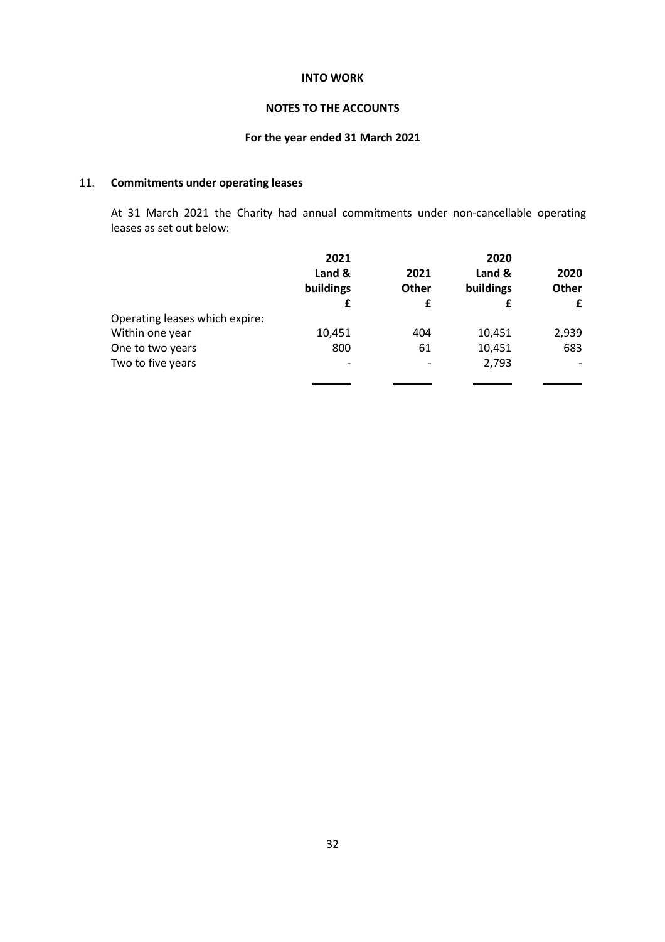## NOTES TO THE ACCOUNTS

# For the year ended 31 March 2021

# 11. Commitments under operating leases

 At 31 March 2021 the Charity had annual commitments under non-cancellable operating leases as set out below:

|                                | 2021      |              | 2020      |       |
|--------------------------------|-----------|--------------|-----------|-------|
|                                | Land &    | 2021         | Land &    | 2020  |
|                                | buildings | <b>Other</b> | buildings | Other |
|                                | £         | £            |           | £     |
| Operating leases which expire: |           |              |           |       |
| Within one year                | 10,451    | 404          | 10,451    | 2,939 |
| One to two years               | 800       | 61           | 10,451    | 683   |
| Two to five years              |           |              | 2,793     |       |
|                                |           |              |           |       |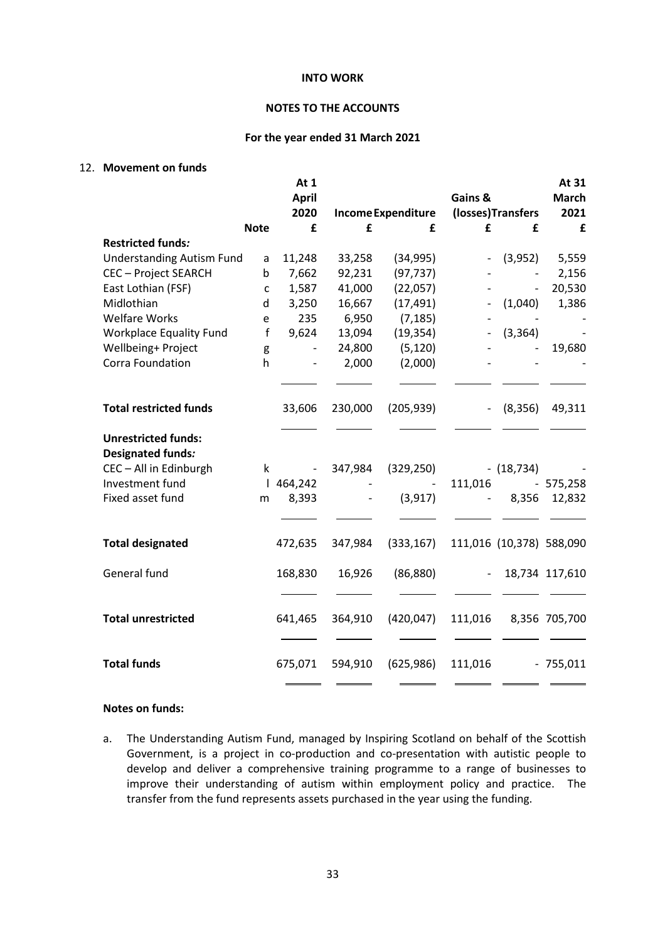## NOTES TO THE ACCOUNTS

#### For the year ended 31 March 2021

## 12. Movement on funds

|                                                                                  |              | At 1<br><b>April</b>          |                          |                                | Gains &                  |                          | At 31<br><b>March</b> |
|----------------------------------------------------------------------------------|--------------|-------------------------------|--------------------------|--------------------------------|--------------------------|--------------------------|-----------------------|
|                                                                                  | <b>Note</b>  | 2020<br>£                     | £                        | <b>Income Expenditure</b><br>£ | £                        | (losses)Transfers<br>£   | 2021<br>£             |
| <b>Restricted funds:</b>                                                         |              |                               |                          |                                |                          |                          |                       |
| <b>Understanding Autism Fund</b>                                                 | a            | 11,248                        | 33,258                   | (34, 995)                      | $\overline{\phantom{a}}$ | (3,952)                  | 5,559                 |
| <b>CEC - Project SEARCH</b>                                                      | b            | 7,662                         | 92,231                   | (97, 737)                      |                          |                          | 2,156                 |
| East Lothian (FSF)                                                               | $\mathsf{C}$ | 1,587                         | 41,000                   | (22,057)                       |                          | $\overline{\phantom{0}}$ | 20,530                |
| Midlothian                                                                       | d            | 3,250                         | 16,667                   | (17, 491)                      |                          | (1,040)                  | 1,386                 |
| <b>Welfare Works</b>                                                             | e            | 235                           | 6,950                    | (7, 185)                       |                          |                          |                       |
| <b>Workplace Equality Fund</b>                                                   | f            | 9,624                         | 13,094                   | (19, 354)                      | $\overline{\phantom{a}}$ | (3, 364)                 |                       |
| Wellbeing+ Project                                                               | g            | $\qquad \qquad \blacksquare$  | 24,800                   | (5, 120)                       |                          |                          | 19,680                |
| Corra Foundation                                                                 | h            | $\overline{\phantom{a}}$      | 2,000                    | (2,000)                        |                          |                          |                       |
|                                                                                  |              |                               |                          |                                |                          |                          |                       |
| <b>Total restricted funds</b>                                                    |              | 33,606                        | 230,000                  | (205, 939)                     | $\blacksquare$           | (8, 356)                 | 49,311                |
| <b>Unrestricted funds:</b><br><b>Designated funds:</b><br>CEC - All in Edinburgh | $\mathsf k$  |                               | 347,984                  | (329, 250)                     |                          | $- (18, 734)$            |                       |
| Investment fund                                                                  |              | <b>Contractor</b><br>1464,242 |                          |                                | 111,016                  |                          | $-575,258$            |
| Fixed asset fund                                                                 | m            | 8,393                         | $\overline{\phantom{a}}$ | (3, 917)                       | $\overline{\phantom{a}}$ | 8,356                    | 12,832                |
|                                                                                  |              |                               |                          |                                |                          |                          |                       |
| <b>Total designated</b>                                                          |              | 472,635                       | 347,984                  | (333, 167)                     |                          | 111,016 (10,378) 588,090 |                       |
| General fund                                                                     |              | 168,830                       | 16,926                   | (86, 880)                      |                          | $\sim$                   | 18,734 117,610        |
|                                                                                  |              |                               |                          |                                |                          |                          |                       |
| <b>Total unrestricted</b>                                                        |              | 641,465                       | 364,910                  | (420, 047)                     | 111,016                  |                          | 8,356 705,700         |
| <b>Total funds</b>                                                               |              | 675,071                       | 594,910                  | (625, 986)                     | 111,016                  |                          | $-755,011$            |
|                                                                                  |              |                               |                          |                                |                          |                          |                       |

## Notes on funds:

a. The Understanding Autism Fund, managed by Inspiring Scotland on behalf of the Scottish Government, is a project in co-production and co-presentation with autistic people to develop and deliver a comprehensive training programme to a range of businesses to improve their understanding of autism within employment policy and practice. The transfer from the fund represents assets purchased in the year using the funding.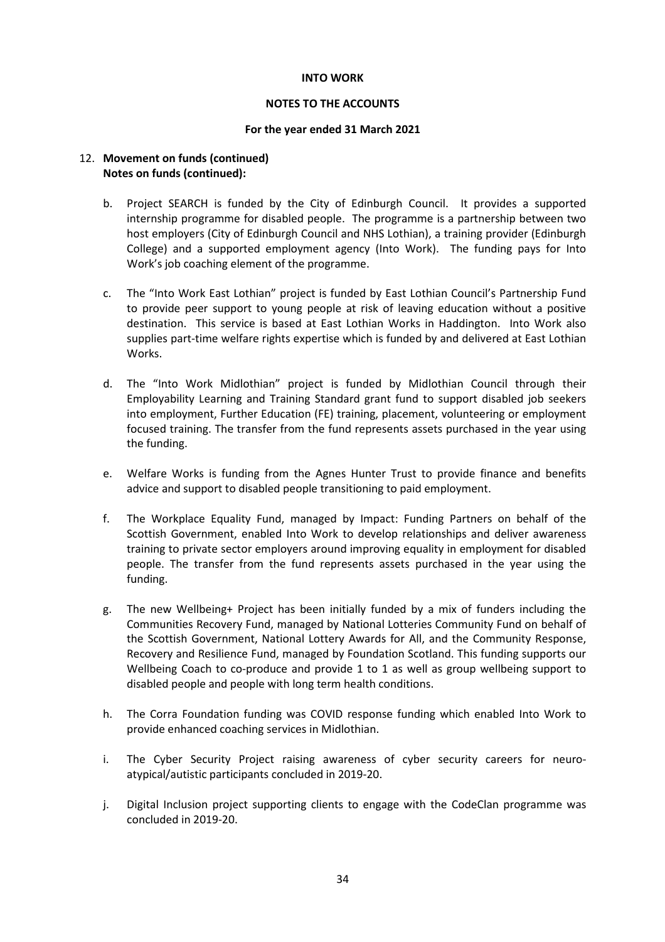## NOTES TO THE ACCOUNTS

## For the year ended 31 March 2021

## 12. Movement on funds (continued) Notes on funds (continued):

- b. Project SEARCH is funded by the City of Edinburgh Council. It provides a supported internship programme for disabled people. The programme is a partnership between two host employers (City of Edinburgh Council and NHS Lothian), a training provider (Edinburgh College) and a supported employment agency (Into Work). The funding pays for Into Work's job coaching element of the programme.
- c. The "Into Work East Lothian" project is funded by East Lothian Council's Partnership Fund to provide peer support to young people at risk of leaving education without a positive destination. This service is based at East Lothian Works in Haddington. Into Work also supplies part-time welfare rights expertise which is funded by and delivered at East Lothian Works.
- d. The "Into Work Midlothian" project is funded by Midlothian Council through their Employability Learning and Training Standard grant fund to support disabled job seekers into employment, Further Education (FE) training, placement, volunteering or employment focused training. The transfer from the fund represents assets purchased in the year using the funding.
- e. Welfare Works is funding from the Agnes Hunter Trust to provide finance and benefits advice and support to disabled people transitioning to paid employment.
- f. The Workplace Equality Fund, managed by Impact: Funding Partners on behalf of the Scottish Government, enabled Into Work to develop relationships and deliver awareness training to private sector employers around improving equality in employment for disabled people. The transfer from the fund represents assets purchased in the year using the funding.
- g. The new Wellbeing+ Project has been initially funded by a mix of funders including the Communities Recovery Fund, managed by National Lotteries Community Fund on behalf of the Scottish Government, National Lottery Awards for All, and the Community Response, Recovery and Resilience Fund, managed by Foundation Scotland. This funding supports our Wellbeing Coach to co-produce and provide 1 to 1 as well as group wellbeing support to disabled people and people with long term health conditions.
- h. The Corra Foundation funding was COVID response funding which enabled Into Work to provide enhanced coaching services in Midlothian.
- i. The Cyber Security Project raising awareness of cyber security careers for neuroatypical/autistic participants concluded in 2019-20.
- j. Digital Inclusion project supporting clients to engage with the CodeClan programme was concluded in 2019-20.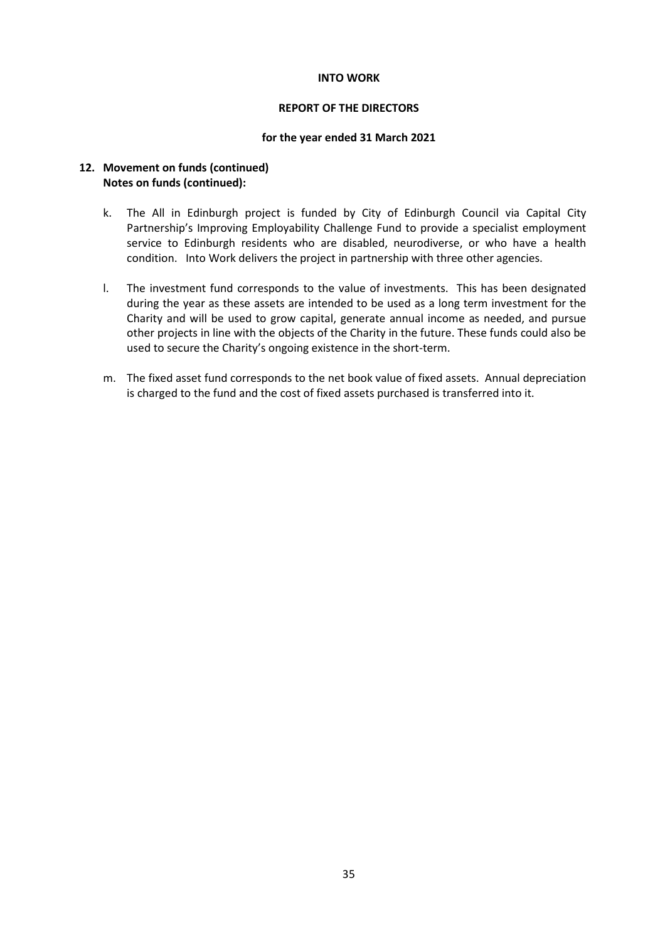## REPORT OF THE DIRECTORS

#### for the year ended 31 March 2021

## 12. Movement on funds (continued) Notes on funds (continued):

- k. The All in Edinburgh project is funded by City of Edinburgh Council via Capital City Partnership's Improving Employability Challenge Fund to provide a specialist employment service to Edinburgh residents who are disabled, neurodiverse, or who have a health condition. Into Work delivers the project in partnership with three other agencies.
- l. The investment fund corresponds to the value of investments. This has been designated during the year as these assets are intended to be used as a long term investment for the Charity and will be used to grow capital, generate annual income as needed, and pursue other projects in line with the objects of the Charity in the future. These funds could also be used to secure the Charity's ongoing existence in the short-term.
- m. The fixed asset fund corresponds to the net book value of fixed assets. Annual depreciation is charged to the fund and the cost of fixed assets purchased is transferred into it.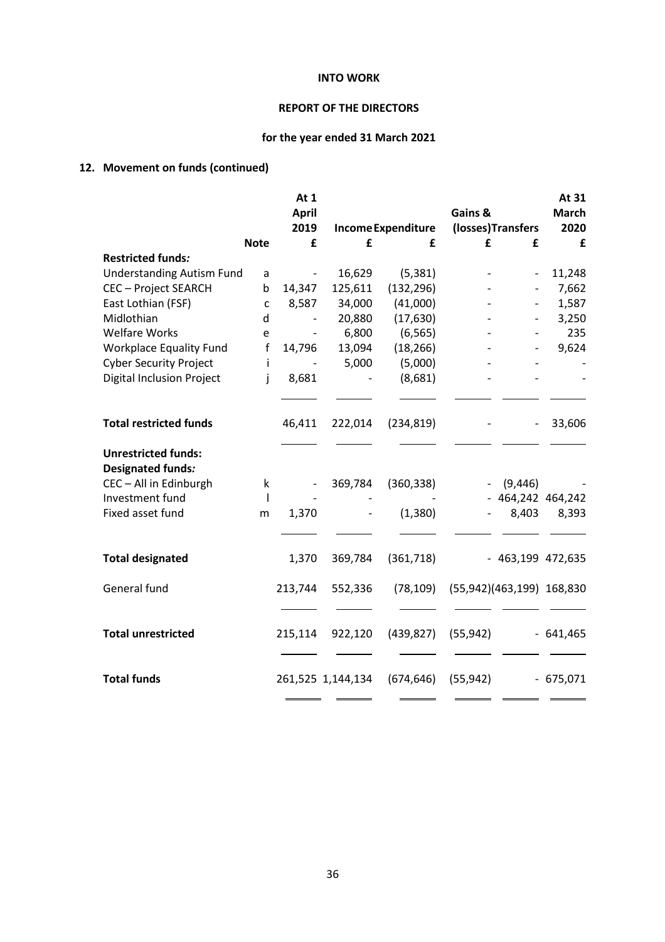# REPORT OF THE DIRECTORS

# for the year ended 31 March 2021

# 12. Movement on funds (continued)

|                                                        |              | At 1                         |                   |                    |           |                           | At 31                |
|--------------------------------------------------------|--------------|------------------------------|-------------------|--------------------|-----------|---------------------------|----------------------|
|                                                        |              | <b>April</b><br>2019         |                   | Income Expenditure | Gains &   | (losses)Transfers         | <b>March</b><br>2020 |
|                                                        | <b>Note</b>  | £                            | £                 | £                  | £         | £                         | £                    |
| <b>Restricted funds:</b>                               |              |                              |                   |                    |           |                           |                      |
| <b>Understanding Autism Fund</b>                       | a            | $\blacksquare$               | 16,629            | (5, 381)           |           | $\overline{\phantom{0}}$  | 11,248               |
| <b>CEC - Project SEARCH</b>                            | b            | 14,347                       | 125,611           | (132, 296)         |           |                           | 7,662                |
| East Lothian (FSF)                                     | $\mathsf{C}$ | 8,587                        | 34,000            | (41,000)           |           |                           | 1,587                |
| Midlothian                                             | d            |                              | 20,880            | (17, 630)          |           |                           | 3,250                |
| <b>Welfare Works</b>                                   | e            |                              | 6,800             | (6, 565)           |           |                           | 235                  |
| Workplace Equality Fund                                | $\mathsf f$  | 14,796                       | 13,094            | (18, 266)          |           |                           | 9,624                |
| <b>Cyber Security Project</b>                          | i.           | $\qquad \qquad \blacksquare$ | 5,000             | (5,000)            |           |                           |                      |
| <b>Digital Inclusion Project</b>                       | İ            | 8,681                        |                   | (8,681)            |           |                           |                      |
|                                                        |              |                              |                   |                    |           |                           |                      |
| <b>Total restricted funds</b>                          |              | 46,411                       | 222,014           | (234, 819)         |           |                           | 33,606               |
| <b>Unrestricted funds:</b><br><b>Designated funds:</b> |              |                              |                   |                    |           |                           |                      |
| CEC - All in Edinburgh                                 | k            | $\overline{\phantom{a}}$     | 369,784           | (360, 338)         |           | (9, 446)                  |                      |
| Investment fund                                        | $\mathbf{I}$ |                              |                   |                    |           | - 464,242 464,242         |                      |
| Fixed asset fund                                       | m            | 1,370                        |                   | (1,380)            |           | 8,403                     | 8,393                |
|                                                        |              |                              |                   |                    |           |                           |                      |
| <b>Total designated</b>                                |              | 1,370                        | 369,784           | (361, 718)         |           | - 463,199 472,635         |                      |
| General fund                                           |              | 213,744                      | 552,336           | (78, 109)          |           | (55,942)(463,199) 168,830 |                      |
|                                                        |              |                              |                   |                    |           |                           |                      |
| <b>Total unrestricted</b>                              |              | 215,114                      | 922,120           | (439, 827)         | (55, 942) |                           | $-641,465$           |
| <b>Total funds</b>                                     |              |                              | 261,525 1,144,134 | (674, 646)         | (55, 942) |                           | $-675,071$           |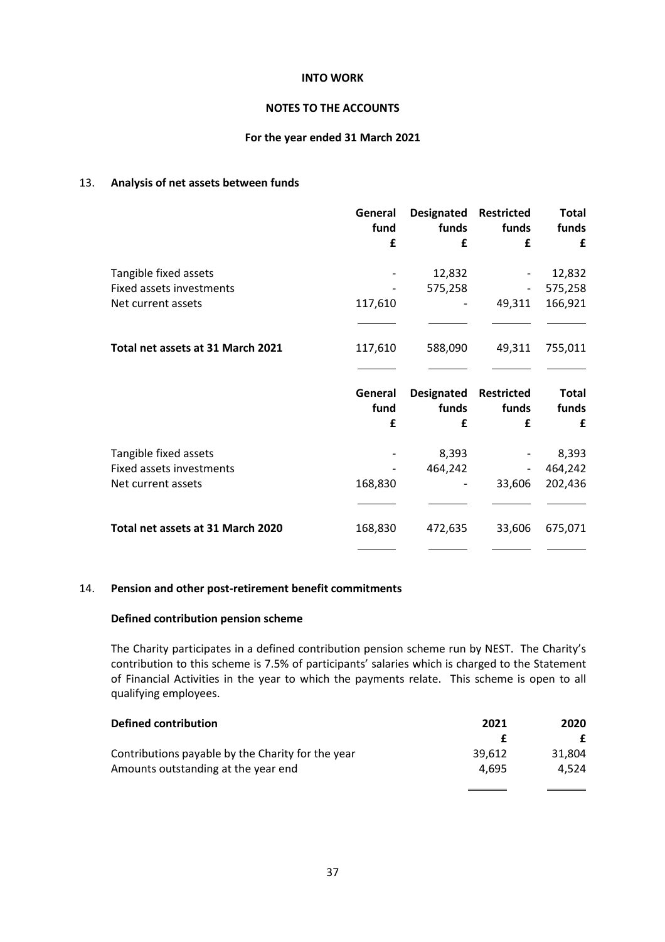## NOTES TO THE ACCOUNTS

## For the year ended 31 March 2021

## 13. Analysis of net assets between funds

|                                                          | General<br>fund | <b>Designated</b><br>funds | <b>Restricted</b><br>funds | <b>Total</b><br>funds |
|----------------------------------------------------------|-----------------|----------------------------|----------------------------|-----------------------|
|                                                          | £               | £                          | £                          | £                     |
| Tangible fixed assets                                    |                 | 12,832                     |                            | 12,832                |
| <b>Fixed assets investments</b>                          |                 | 575,258                    |                            | 575,258               |
| Net current assets                                       | 117,610         |                            | 49,311                     | 166,921               |
|                                                          |                 |                            |                            |                       |
| Total net assets at 31 March 2021                        | 117,610         | 588,090                    | 49,311                     | 755,011               |
|                                                          |                 |                            |                            |                       |
|                                                          |                 |                            |                            |                       |
|                                                          | General<br>fund | <b>Designated</b><br>funds | Restricted<br>funds        | <b>Total</b><br>funds |
|                                                          | £               | £                          | £                          | £                     |
|                                                          |                 |                            |                            |                       |
| Tangible fixed assets<br><b>Fixed assets investments</b> |                 | 8,393                      |                            | 8,393                 |
| Net current assets                                       | 168,830         | 464,242                    | 33,606                     | 464,242<br>202,436    |
|                                                          |                 |                            |                            |                       |

## 14. Pension and other post-retirement benefit commitments

## Defined contribution pension scheme

 The Charity participates in a defined contribution pension scheme run by NEST. The Charity's contribution to this scheme is 7.5% of participants' salaries which is charged to the Statement of Financial Activities in the year to which the payments relate. This scheme is open to all qualifying employees.

| 39.612 | 31.804 |
|--------|--------|
| 4.695  | 4.524  |
|        |        |